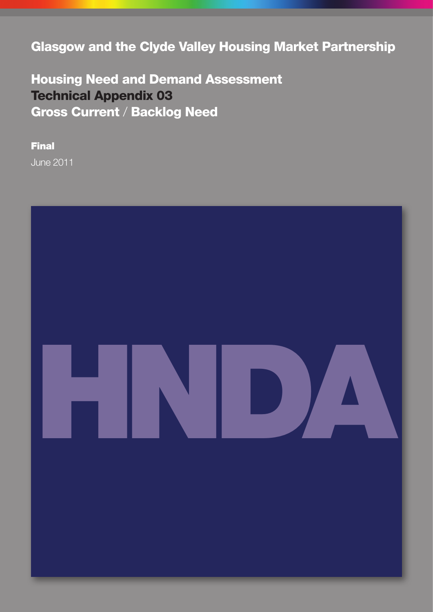Glasgow and the Clyde Valley Housing Market Partnership

Housing Need and Demand Assessment Technical Appendix 03 Gross Current / Backlog Need

Final June 2011

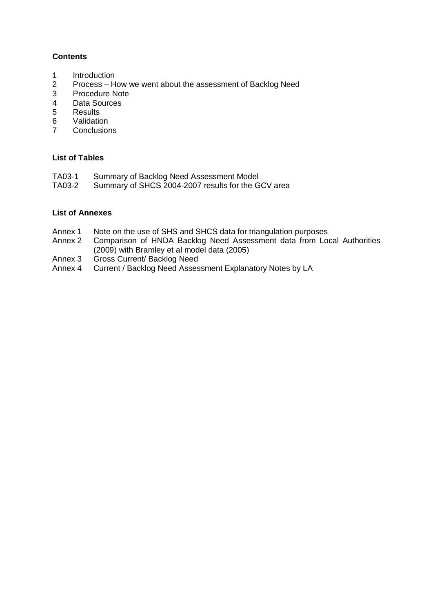### **Contents**

- 1 Introduction<br>2 Process-H
- 2 Process How we went about the assessment of Backlog Need<br>3 Procedure Note
- 3 Procedure Note<br>4 Data Sources
- 4 Data Sources<br>5 Results
- **Results**
- 6 Validation
- 7 Conclusions

### **List of Tables**

- TA03-1 Summary of Backlog Need Assessment Model<br>TA03-2 Summary of SHCS 2004-2007 results for the G
- Summary of SHCS 2004-2007 results for the GCV area

### **List of Annexes**

- Annex 1 Note on the use of SHS and SHCS data for triangulation purposes<br>Annex 2 Comparison of HNDA Backlog Need Assessment data from Loo
- Comparison of HNDA Backlog Need Assessment data from Local Authorities (2009) with Bramley et al model data (2005)
- Annex 3 Gross Current/ Backlog Need<br>Annex 4 Current / Backlog Need Asses
- Current / Backlog Need Assessment Explanatory Notes by LA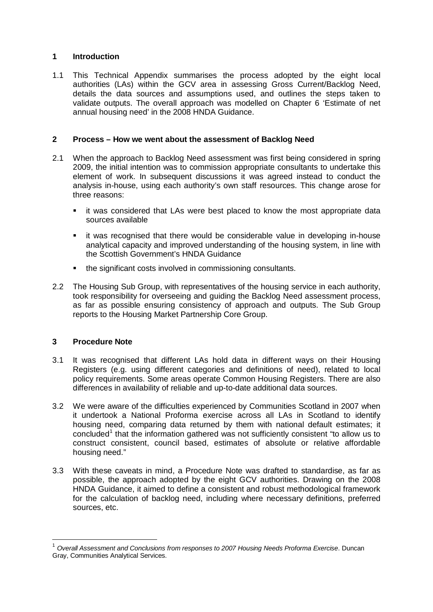### **1 Introduction**

1.1 This Technical Appendix summarises the process adopted by the eight local authorities (LAs) within the GCV area in assessing Gross Current/Backlog Need, details the data sources and assumptions used, and outlines the steps taken to validate outputs. The overall approach was modelled on Chapter 6 'Estimate of net annual housing need' in the 2008 HNDA Guidance.

### **2 Process – How we went about the assessment of Backlog Need**

- 2.1 When the approach to Backlog Need assessment was first being considered in spring 2009, the initial intention was to commission appropriate consultants to undertake this element of work. In subsequent discussions it was agreed instead to conduct the analysis in-house, using each authority's own staff resources. This change arose for three reasons:
	- it was considered that LAs were best placed to know the most appropriate data sources available
	- it was recognised that there would be considerable value in developing in-house analytical capacity and improved understanding of the housing system, in line with the Scottish Government's HNDA Guidance
	- the significant costs involved in commissioning consultants.
- 2.2 The Housing Sub Group, with representatives of the housing service in each authority, took responsibility for overseeing and guiding the Backlog Need assessment process, as far as possible ensuring consistency of approach and outputs. The Sub Group reports to the Housing Market Partnership Core Group.

### **3 Procedure Note**

<u>.</u>

- 3.1 It was recognised that different LAs hold data in different ways on their Housing Registers (e.g. using different categories and definitions of need), related to local policy requirements. Some areas operate Common Housing Registers. There are also differences in availability of reliable and up-to-date additional data sources.
- 3.2 We were aware of the difficulties experienced by Communities Scotland in 2007 when it undertook a National Proforma exercise across all LAs in Scotland to identify housing need, comparing data returned by them with national default estimates; it concluded<sup>1</sup> that the information gathered was not sufficiently consistent "to allow us to construct consistent, council based, estimates of absolute or relative affordable housing need."
- 3.3 With these caveats in mind, a Procedure Note was drafted to standardise, as far as possible, the approach adopted by the eight GCV authorities. Drawing on the 2008 HNDA Guidance, it aimed to define a consistent and robust methodological framework for the calculation of backlog need, including where necessary definitions, preferred sources, etc.

<span id="page-4-0"></span><sup>1</sup> *Overall Assessment and Conclusions from responses to 2007 Housing Needs Proforma Exercise*. Duncan Gray, Communities Analytical Services.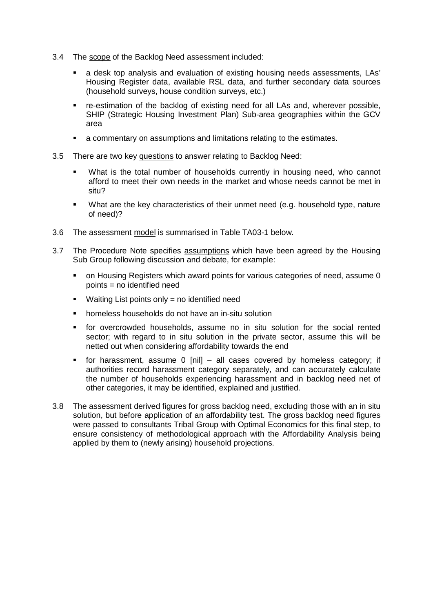- 3.4 The scope of the Backlog Need assessment included:
	- a desk top analysis and evaluation of existing housing needs assessments, LAs' Housing Register data, available RSL data, and further secondary data sources (household surveys, house condition surveys, etc.)
	- re-estimation of the backlog of existing need for all LAs and, wherever possible, SHIP (Strategic Housing Investment Plan) Sub-area geographies within the GCV area
	- a commentary on assumptions and limitations relating to the estimates.
- 3.5 There are two key questions to answer relating to Backlog Need:
	- What is the total number of households currently in housing need, who cannot afford to meet their own needs in the market and whose needs cannot be met in situ?
	- What are the key characteristics of their unmet need (e.g. household type, nature of need)?
- 3.6 The assessment model is summarised in Table TA03-1 below.
- 3.7 The Procedure Note specifies assumptions which have been agreed by the Housing Sub Group following discussion and debate, for example:
	- on Housing Registers which award points for various categories of need, assume 0 points = no identified need
	- **Waiting List points only = no identified need**
	- homeless households do not have an in-situ solution
	- for overcrowded households, assume no in situ solution for the social rented sector; with regard to in situ solution in the private sector, assume this will be netted out when considering affordability towards the end
	- for harassment, assume 0 [nil] all cases covered by homeless category; if authorities record harassment category separately, and can accurately calculate the number of households experiencing harassment and in backlog need net of other categories, it may be identified, explained and justified.
- 3.8 The assessment derived figures for gross backlog need, excluding those with an in situ solution, but before application of an affordability test. The gross backlog need figures were passed to consultants Tribal Group with Optimal Economics for this final step, to ensure consistency of methodological approach with the Affordability Analysis being applied by them to (newly arising) household projections.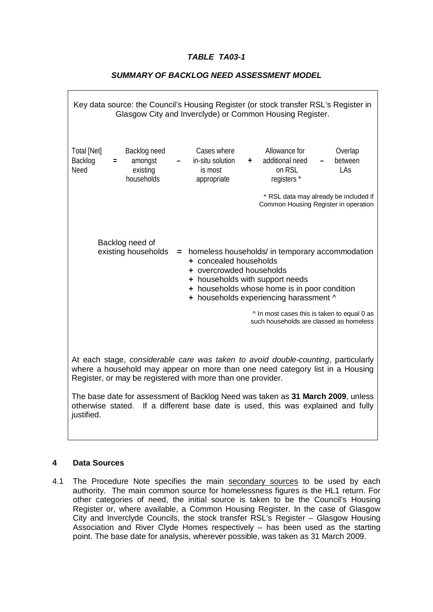## *TABLE TA03-1*

# Key data source: the Council's Housing Register (or stock transfer RSL's Register in Glasgow City and Inverclyde) or Common Housing Register. Total [Net] Backlog need Cases where Allowance for Overlap Backlog **=** amongst **–** in-situ solution **+** additional need **–** between Need existing is most on RSL LAs households appropriate registers \* \* RSL data may already be included if Common Housing Register in operation Backlog need of existing households **=** homeless households/ in temporary accommodation **+** concealed households **+** overcrowded households **+** households with support needs **+** households whose home is in poor condition **+** households experiencing harassment ^ ^ In most cases this is taken to equal 0 as such households are classed as homeless At each stage, *considerable care was taken to avoid double-counting*, particularly where a household may appear on more than one need category list in a Housing Register, or may be registered with more than one provider.

### *SUMMARY OF BACKLOG NEED ASSESSMENT MODEL*

The base date for assessment of Backlog Need was taken as **31 March 2009**, unless otherwise stated. If a different base date is used, this was explained and fully justified.

#### **4 Data Sources**

4.1 The Procedure Note specifies the main secondary sources to be used by each authority. The main common source for homelessness figures is the HL1 return. For other categories of need, the initial source is taken to be the Council's Housing Register or, where available, a Common Housing Register. In the case of Glasgow City and Inverclyde Councils, the stock transfer RSL's Register – Glasgow Housing Association and River Clyde Homes respectively – has been used as the starting point. The base date for analysis, wherever possible, was taken as 31 March 2009.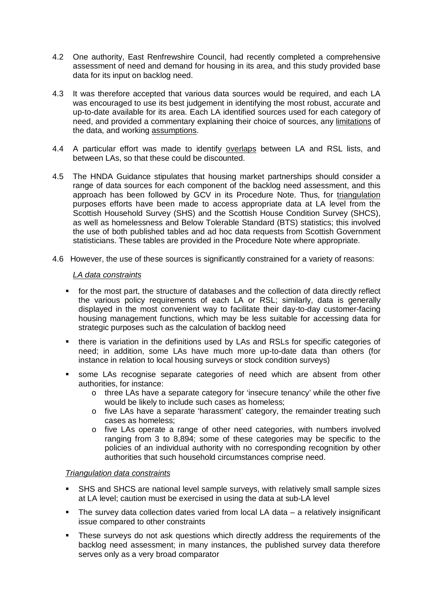- 4.2 One authority, East Renfrewshire Council, had recently completed a comprehensive assessment of need and demand for housing in its area, and this study provided base data for its input on backlog need.
- 4.3 It was therefore accepted that various data sources would be required, and each LA was encouraged to use its best judgement in identifying the most robust, accurate and up-to-date available for its area. Each LA identified sources used for each category of need, and provided a commentary explaining their choice of sources, any limitations of the data, and working assumptions.
- 4.4 A particular effort was made to identify overlaps between LA and RSL lists, and between LAs, so that these could be discounted.
- 4.5 The HNDA Guidance stipulates that housing market partnerships should consider a range of data sources for each component of the backlog need assessment, and this approach has been followed by GCV in its Procedure Note. Thus, for triangulation purposes efforts have been made to access appropriate data at LA level from the Scottish Household Survey (SHS) and the Scottish House Condition Survey (SHCS), as well as homelessness and Below Tolerable Standard (BTS) statistics; this involved the use of both published tables and ad hoc data requests from Scottish Government statisticians. These tables are provided in the Procedure Note where appropriate.
- 4.6 However, the use of these sources is significantly constrained for a variety of reasons:

### *LA data constraints*

- for the most part, the structure of databases and the collection of data directly reflect the various policy requirements of each LA or RSL; similarly, data is generally displayed in the most convenient way to facilitate their day-to-day customer-facing housing management functions, which may be less suitable for accessing data for strategic purposes such as the calculation of backlog need
- there is variation in the definitions used by LAs and RSLs for specific categories of need; in addition, some LAs have much more up-to-date data than others (for instance in relation to local housing surveys or stock condition surveys)
- some LAs recognise separate categories of need which are absent from other authorities, for instance:
	- o three LAs have a separate category for 'insecure tenancy' while the other five would be likely to include such cases as homeless;
	- o five LAs have a separate 'harassment' category, the remainder treating such cases as homeless;
	- o five LAs operate a range of other need categories, with numbers involved ranging from 3 to 8,894; some of these categories may be specific to the policies of an individual authority with no corresponding recognition by other authorities that such household circumstances comprise need.

#### *Triangulation data constraints*

- SHS and SHCS are national level sample surveys, with relatively small sample sizes at LA level; caution must be exercised in using the data at sub-LA level
- The survey data collection dates varied from local LA data a relatively insignificant issue compared to other constraints
- **These surveys do not ask questions which directly address the requirements of the** backlog need assessment; in many instances, the published survey data therefore serves only as a very broad comparator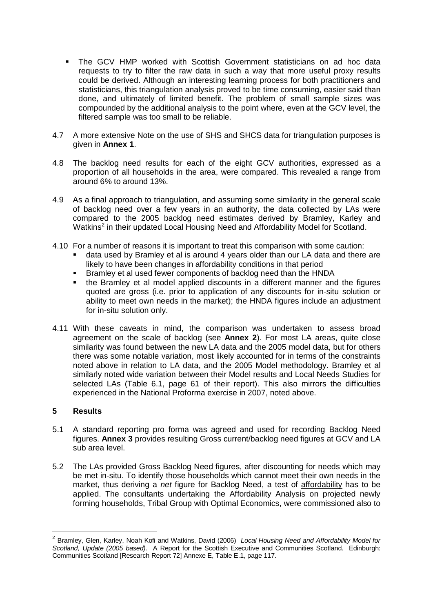- The GCV HMP worked with Scottish Government statisticians on ad hoc data requests to try to filter the raw data in such a way that more useful proxy results could be derived. Although an interesting learning process for both practitioners and statisticians, this triangulation analysis proved to be time consuming, easier said than done, and ultimately of limited benefit. The problem of small sample sizes was compounded by the additional analysis to the point where, even at the GCV level, the filtered sample was too small to be reliable.
- 4.7 A more extensive Note on the use of SHS and SHCS data for triangulation purposes is given in **Annex 1**.
- 4.8 The backlog need results for each of the eight GCV authorities, expressed as a proportion of all households in the area, were compared. This revealed a range from around 6% to around 13%.
- 4.9 As a final approach to triangulation, and assuming some similarity in the general scale of backlog need over a few years in an authority, the data collected by LAs were compared to the 2005 backlog need estimates derived by Bramley, Karley and Watkins<sup>[2](#page-4-0)</sup> in their updated Local Housing Need and Affordability Model for Scotland.
- 4.10 For a number of reasons it is important to treat this comparison with some caution:
	- data used by Bramley et al is around 4 years older than our LA data and there are likely to have been changes in affordability conditions in that period
	- Bramley et al used fewer components of backlog need than the HNDA
	- the Bramley et al model applied discounts in a different manner and the figures quoted are gross (i.e. prior to application of any discounts for in-situ solution or ability to meet own needs in the market); the HNDA figures include an adjustment for in-situ solution only.
- 4.11 With these caveats in mind, the comparison was undertaken to assess broad agreement on the scale of backlog (see **Annex 2**). For most LA areas, quite close similarity was found between the new LA data and the 2005 model data, but for others there was some notable variation, most likely accounted for in terms of the constraints noted above in relation to LA data, and the 2005 Model methodology. Bramley et al similarly noted wide variation between their Model results and Local Needs Studies for selected LAs (Table 6.1, page 61 of their report). This also mirrors the difficulties experienced in the National Proforma exercise in 2007, noted above.

### **5 Results**

<span id="page-8-0"></span> $\overline{a}$ 

- 5.1 A standard reporting pro forma was agreed and used for recording Backlog Need figures. **Annex 3** provides resulting Gross current/backlog need figures at GCV and LA sub area level.
- 5.2 The LAs provided Gross Backlog Need figures, after discounting for needs which may be met in-situ. To identify those households which cannot meet their own needs in the market, thus deriving a *net* figure for Backlog Need, a test of affordability has to be applied. The consultants undertaking the Affordability Analysis on projected newly forming households, Tribal Group with Optimal Economics, were commissioned also to

<sup>2</sup> Bramley, Glen, Karley, Noah Kofi and Watkins, David (2006) *Local Housing Need and Affordability Model for Scotland, Update (2005 based).* A Report for the Scottish Executive and Communities Scotland. Edinburgh: Communities Scotland [Research Report 72] Annexe E, Table E.1, page 117.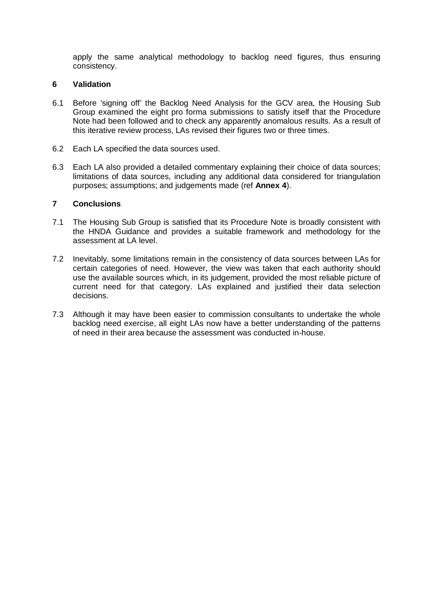apply the same analytical methodology to backlog need figures, thus ensuring consistency.

### **6 Validation**

- 6.1 Before 'signing off' the Backlog Need Analysis for the GCV area, the Housing Sub Group examined the eight pro forma submissions to satisfy itself that the Procedure Note had been followed and to check any apparently anomalous results. As a result of this iterative review process, LAs revised their figures two or three times.
- 6.2 Each LA specified the data sources used.
- 6.3 Each LA also provided a detailed commentary explaining their choice of data sources; limitations of data sources, including any additional data considered for triangulation purposes; assumptions; and judgements made (ref **Annex 4**).

### **7 Conclusions**

- 7.1 The Housing Sub Group is satisfied that its Procedure Note is broadly consistent with the HNDA Guidance and provides a suitable framework and methodology for the assessment at LA level.
- 7.2 Inevitably, some limitations remain in the consistency of data sources between LAs for certain categories of need. However, the view was taken that each authority should use the available sources which, in its judgement, provided the most reliable picture of current need for that category. LAs explained and justified their data selection decisions.
- 7.3 Although it may have been easier to commission consultants to undertake the whole backlog need exercise, all eight LAs now have a better understanding of the patterns of need in their area because the assessment was conducted in-house.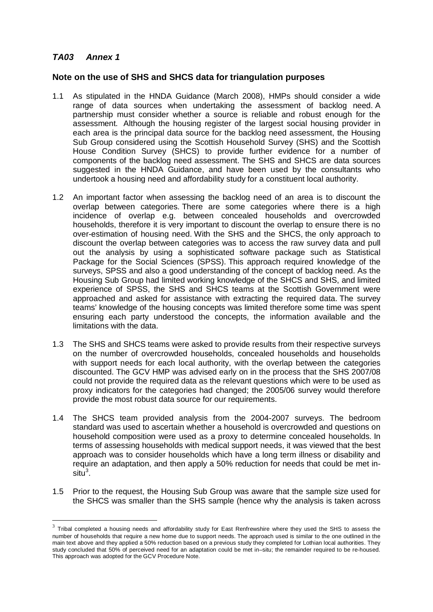## <span id="page-10-0"></span>*TA03 Annex 1*

-

### **Note on the use of SHS and SHCS data for triangulation purposes**

- 1.1 As stipulated in the HNDA Guidance (March 2008), HMPs should consider a wide range of data sources when undertaking the assessment of backlog need. A partnership must consider whether a source is reliable and robust enough for the assessment. Although the housing register of the largest social housing provider in each area is the principal data source for the backlog need assessment, the Housing Sub Group considered using the Scottish Household Survey (SHS) and the Scottish House Condition Survey (SHCS) to provide further evidence for a number of components of the backlog need assessment. The SHS and SHCS are data sources suggested in the HNDA Guidance, and have been used by the consultants who undertook a housing need and affordability study for a constituent local authority.
- 1.2 An important factor when assessing the backlog need of an area is to discount the overlap between categories. There are some categories where there is a high incidence of overlap e.g. between concealed households and overcrowded households, therefore it is very important to discount the overlap to ensure there is no over-estimation of housing need. With the SHS and the SHCS, the only approach to discount the overlap between categories was to access the raw survey data and pull out the analysis by using a sophisticated software package such as Statistical Package for the Social Sciences (SPSS). This approach required knowledge of the surveys, SPSS and also a good understanding of the concept of backlog need. As the Housing Sub Group had limited working knowledge of the SHCS and SHS, and limited experience of SPSS, the SHS and SHCS teams at the Scottish Government were approached and asked for assistance with extracting the required data. The survey teams' knowledge of the housing concepts was limited therefore some time was spent ensuring each party understood the concepts, the information available and the limitations with the data.
- 1.3 The SHS and SHCS teams were asked to provide results from their respective surveys on the number of overcrowded households, concealed households and households with support needs for each local authority, with the overlap between the categories discounted. The GCV HMP was advised early on in the process that the SHS 2007/08 could not provide the required data as the relevant questions which were to be used as proxy indicators for the categories had changed; the 2005/06 survey would therefore provide the most robust data source for our requirements.
- 1.4 The SHCS team provided analysis from the 2004-2007 surveys. The bedroom standard was used to ascertain whether a household is overcrowded and questions on household composition were used as a proxy to determine concealed households. In terms of assessing households with medical support needs, it was viewed that the best approach was to consider households which have a long term illness or disability and require an adaptation, and then apply a 50% reduction for needs that could be met insitu $^3$  $^3$ .
- 1.5 Prior to the request, the Housing Sub Group was aware that the sample size used for the SHCS was smaller than the SHS sample (hence why the analysis is taken across

 $3$  Tribal completed a housing needs and affordability study for East Renfrewshire where they used the SHS to assess the number of households that require a new home due to support needs. The approach used is similar to the one outlined in the main text above and they applied a 50% reduction based on a previous study they completed for Lothian local authorities. They study concluded that 50% of perceived need for an adaptation could be met in–situ; the remainder required to be re-housed. This approach was adopted for the GCV Procedure Note.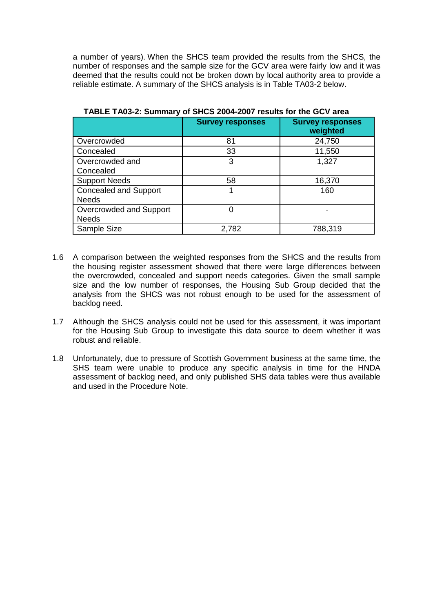a number of years). When the SHCS team provided the results from the SHCS, the number of responses and the sample size for the GCV area were fairly low and it was deemed that the results could not be broken down by local authority area to provide a reliable estimate. A summary of the SHCS analysis is in Table TA03-2 below.

|                              | <b>Survey responses</b> | <b>Survey responses</b><br>weighted |
|------------------------------|-------------------------|-------------------------------------|
| Overcrowded                  | 81                      | 24,750                              |
| Concealed                    | 33                      | 11,550                              |
| Overcrowded and              | 3                       | 1,327                               |
| Concealed                    |                         |                                     |
| <b>Support Needs</b>         | 58                      | 16,370                              |
| <b>Concealed and Support</b> |                         | 160                                 |
| <b>Needs</b>                 |                         |                                     |
| Overcrowded and Support      | O                       |                                     |
| <b>Needs</b>                 |                         |                                     |
| Sample Size                  | 2,782                   | 788,319                             |

**TABLE TA03-2: Summary of SHCS 2004-2007 results for the GCV area**

- 1.6 A comparison between the weighted responses from the SHCS and the results from the housing register assessment showed that there were large differences between the overcrowded, concealed and support needs categories. Given the small sample size and the low number of responses, the Housing Sub Group decided that the analysis from the SHCS was not robust enough to be used for the assessment of backlog need.
- 1.7 Although the SHCS analysis could not be used for this assessment, it was important for the Housing Sub Group to investigate this data source to deem whether it was robust and reliable.
- 1.8 Unfortunately, due to pressure of Scottish Government business at the same time, the SHS team were unable to produce any specific analysis in time for the HNDA assessment of backlog need, and only published SHS data tables were thus available and used in the Procedure Note.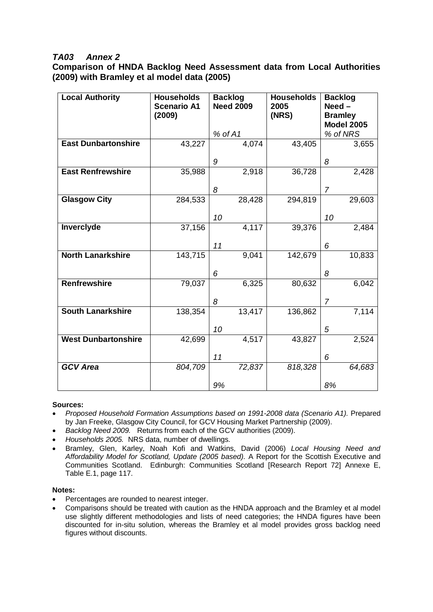## *TA03 Annex 2*

**Comparison of HNDA Backlog Need Assessment data from Local Authorities (2009) with Bramley et al model data (2005)**

| <b>Local Authority</b>     | <b>Households</b><br><b>Scenario A1</b><br>(2009) | <b>Backlog</b><br><b>Need 2009</b> | <b>Households</b><br>2005<br>(NRS) | <b>Backlog</b><br>$Need -$<br><b>Bramley</b><br><b>Model 2005</b> |
|----------------------------|---------------------------------------------------|------------------------------------|------------------------------------|-------------------------------------------------------------------|
|                            |                                                   | % of A1                            |                                    | % of NRS                                                          |
| <b>East Dunbartonshire</b> | 43,227                                            | 4,074                              | 43,405                             | 3,655                                                             |
|                            |                                                   | 9                                  |                                    | 8                                                                 |
| <b>East Renfrewshire</b>   | 35,988                                            | 2,918                              | 36,728                             | 2,428                                                             |
|                            |                                                   | 8                                  |                                    | $\overline{7}$                                                    |
| <b>Glasgow City</b>        | 284,533                                           | 28,428                             | 294,819                            | 29,603                                                            |
|                            |                                                   | 10                                 |                                    | 10                                                                |
| Inverclyde                 | 37,156                                            | 4,117                              | 39,376                             | 2,484                                                             |
|                            |                                                   | 11                                 |                                    | 6                                                                 |
| <b>North Lanarkshire</b>   | 143,715                                           | 9,041                              | 142,679                            | 10,833                                                            |
|                            |                                                   | 6                                  |                                    | 8                                                                 |
| <b>Renfrewshire</b>        | 79,037                                            | 6,325                              | 80,632                             | 6,042                                                             |
|                            |                                                   | 8                                  |                                    | $\overline{7}$                                                    |
| <b>South Lanarkshire</b>   | 138,354                                           | 13,417                             | 136,862                            | 7,114                                                             |
|                            |                                                   | 10                                 |                                    | 5                                                                 |
| <b>West Dunbartonshire</b> | 42,699                                            | 4,517                              | 43,827                             | 2,524                                                             |
|                            |                                                   |                                    |                                    |                                                                   |
|                            |                                                   | 11                                 |                                    | 6                                                                 |
| <b>GCV</b> Area            | 804,709                                           | 72,837                             | 818,328                            | 64,683                                                            |
|                            |                                                   | 9%                                 |                                    | 8%                                                                |

#### **Sources:**

- *Proposed Household Formation Assumptions based on 1991-2008 data (Scenario A1).* Prepared by Jan Freeke, Glasgow City Council, for GCV Housing Market Partnership (2009).
- *Backlog Need 2009.* Returns from each of the GCV authorities (2009).
- *Households 2005.* NRS data, number of dwellings.
- Bramley, Glen, Karley, Noah Kofi and Watkins, David (2006) *Local Housing Need and Affordability Model for Scotland, Update (2005 based).* A Report for the Scottish Executive and Communities Scotland. Edinburgh: Communities Scotland [Research Report 72] Annexe E, Table E.1, page 117.

#### **Notes:**

- Percentages are rounded to nearest integer.
- Comparisons should be treated with caution as the HNDA approach and the Bramley et al model use slightly different methodologies and lists of need categories; the HNDA figures have been discounted for in-situ solution, whereas the Bramley et al model provides gross backlog need figures without discounts.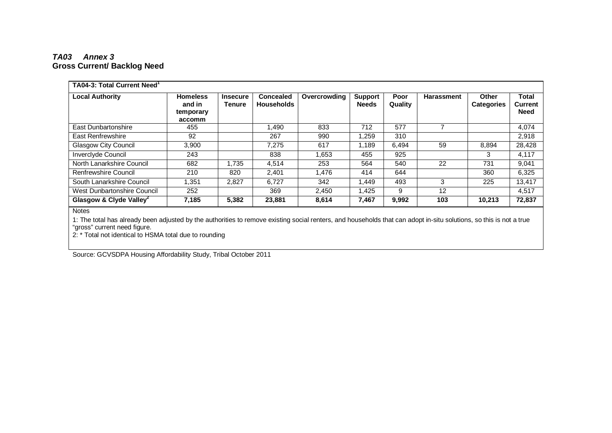### *TA03 Annex 3* **Gross Current/ Backlog Need**

| <b>TA04-3: Total Current Need</b>                    |                                                  |                           |                                |              |                                |                 |                   |                            |                                               |
|------------------------------------------------------|--------------------------------------------------|---------------------------|--------------------------------|--------------|--------------------------------|-----------------|-------------------|----------------------------|-----------------------------------------------|
| <b>Local Authority</b>                               | <b>Homeless</b><br>and in<br>temporary<br>accomm | <b>Insecure</b><br>Tenure | Concealed<br><b>Households</b> | Overcrowding | <b>Support</b><br><b>Needs</b> | Poor<br>Quality | <b>Harassment</b> | Other<br><b>Categories</b> | <b>Total</b><br><b>Current</b><br><b>Need</b> |
| <b>East Dunbartonshire</b>                           | 455                                              |                           | .490                           | 833          | 712                            | 577             |                   |                            | 4,074                                         |
| East Renfrewshire                                    | 92                                               |                           | 267                            | 990          | 1,259                          | 310             |                   |                            | 2,918                                         |
| <b>Glasgow City Council</b>                          | 3,900                                            |                           | 7,275                          | 617          | 1.189                          | 6.494           | 59                | 8.894                      | 28,428                                        |
| <b>Inverclyde Council</b>                            | 243                                              |                           | 838                            | 1.653        | 455                            | 925             |                   | 3                          | 4,117                                         |
| North Lanarkshire Council                            | 682                                              | 1,735                     | 4.514                          | 253          | 564                            | 540             | 22                | 731                        | 9,041                                         |
| Renfrewshire Council                                 | 210                                              | 820                       | 2,401                          | 1,476        | 414                            | 644             |                   | 360                        | 6,325                                         |
| South Lanarkshire Council                            | 1.351                                            | 2,827                     | 6.727                          | 342          | 1.449                          | 493             | 3                 | 225                        | 13,417                                        |
| West Dunbartonshire Council                          | 252                                              |                           | 369                            | 2,450        | 1,425                          | 9               | $12 \overline{ }$ |                            | 4,517                                         |
| Glasgow & Clyde Valley <sup>2</sup><br><b>Notice</b> | 7,185                                            | 5,382                     | 23,881                         | 8,614        | 7,467                          | 9,992           | 103               | 10,213                     | 72,837                                        |

Notes

1: The total has already been adjusted by the authorities to remove existing social renters, and households that can adopt in-situ solutions, so this is not a true "gross" current need figure.

2: \* Total not identical to HSMA total due to rounding

Source: GCVSDPA Housing Affordability Study, Tribal October 2011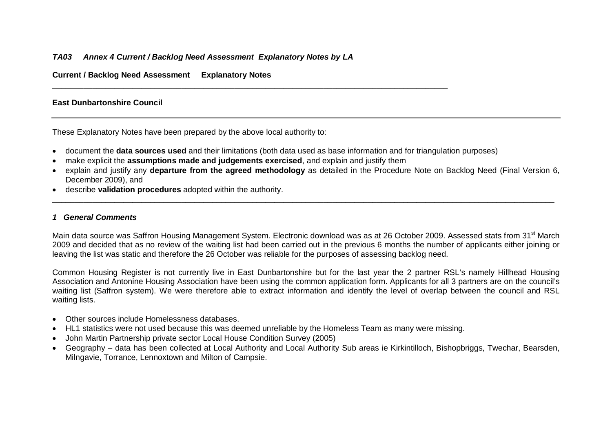### *TA03 Annex 4 Current / Backlog Need Assessment Explanatory Notes by LA*

**Current / Backlog Need Assessment Explanatory Notes**

### **East Dunbartonshire Council**

These Explanatory Notes have been prepared by the above local authority to:

- document the **data sources used** and their limitations (both data used as base information and for triangulation purposes)
- make explicit the **assumptions made and judgements exercised**, and explain and justify them

\_\_\_\_\_\_\_\_\_\_\_\_\_\_\_\_\_\_\_\_\_\_\_\_\_\_\_\_\_\_\_\_\_\_\_\_\_\_\_\_\_\_\_\_\_\_\_\_\_\_\_\_\_\_\_\_\_\_\_\_\_\_\_\_\_\_\_\_\_\_\_\_\_\_\_\_\_\_\_\_\_\_\_\_\_\_\_\_\_

• explain and justify any **departure from the agreed methodology** as detailed in the Procedure Note on Backlog Need (Final Version 6, December 2009), and

\_\_\_\_\_\_\_\_\_\_\_\_\_\_\_\_\_\_\_\_\_\_\_\_\_\_\_\_\_\_\_\_\_\_\_\_\_\_\_\_\_\_\_\_\_\_\_\_\_\_\_\_\_\_\_\_\_\_\_\_\_\_\_\_\_\_\_\_\_\_\_\_\_\_\_\_\_\_\_\_\_\_\_\_\_\_\_\_\_\_\_\_\_\_\_\_\_\_\_\_\_\_\_\_\_\_\_\_\_\_\_\_\_

• describe **validation procedures** adopted within the authority.

#### *1 General Comments*

Main data source was Saffron Housing Management System. Electronic download was as at 26 October 2009. Assessed stats from 31<sup>st</sup> March 2009 and decided that as no review of the waiting list had been carried out in the previous 6 months the number of applicants either joining or leaving the list was static and therefore the 26 October was reliable for the purposes of assessing backlog need.

Common Housing Register is not currently live in East Dunbartonshire but for the last year the 2 partner RSL's namely Hillhead Housing Association and Antonine Housing Association have been using the common application form. Applicants for all 3 partners are on the council's waiting list (Saffron system). We were therefore able to extract information and identify the level of overlap between the council and RSL waiting lists.

- Other sources include Homelessness databases.
- HL1 statistics were not used because this was deemed unreliable by the Homeless Team as many were missing.
- John Martin Partnership private sector Local House Condition Survey (2005)
- Geography data has been collected at Local Authority and Local Authority Sub areas ie Kirkintilloch, Bishopbriggs, Twechar, Bearsden, Milngavie, Torrance, Lennoxtown and Milton of Campsie.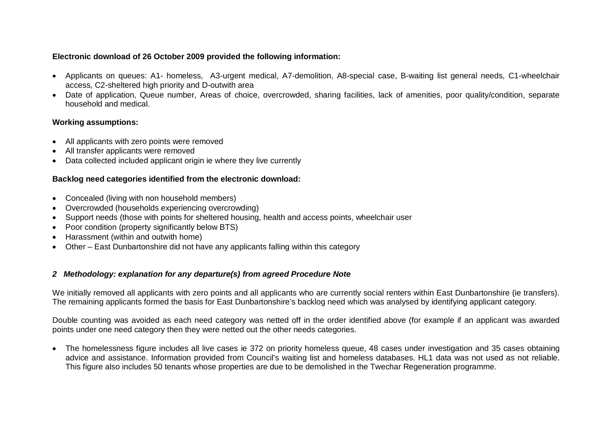### **Electronic download of 26 October 2009 provided the following information:**

- Applicants on queues: A1- homeless, A3-urgent medical, A7-demolition, A8-special case, B-waiting list general needs, C1-wheelchair access, C2-sheltered high priority and D-outwith area
- Date of application, Queue number, Areas of choice, overcrowded, sharing facilities, lack of amenities, poor quality/condition, separate household and medical.

### **Working assumptions:**

- All applicants with zero points were removed
- All transfer applicants were removed
- Data collected included applicant origin ie where they live currently

### **Backlog need categories identified from the electronic download:**

- Concealed (living with non household members)
- Overcrowded (households experiencing overcrowding)
- Support needs (those with points for sheltered housing, health and access points, wheelchair user
- Poor condition (property significantly below BTS)
- Harassment (within and outwith home)
- Other East Dunbartonshire did not have any applicants falling within this category

### *2 Methodology: explanation for any departure(s) from agreed Procedure Note*

We initially removed all applicants with zero points and all applicants who are currently social renters within East Dunbartonshire (ie transfers). The remaining applicants formed the basis for East Dunbartonshire's backlog need which was analysed by identifying applicant category.

Double counting was avoided as each need category was netted off in the order identified above (for example if an applicant was awarded points under one need category then they were netted out the other needs categories.

• The homelessness figure includes all live cases ie 372 on priority homeless queue, 48 cases under investigation and 35 cases obtaining advice and assistance. Information provided from Council's waiting list and homeless databases. HL1 data was not used as not reliable. This figure also includes 50 tenants whose properties are due to be demolished in the Twechar Regeneration programme.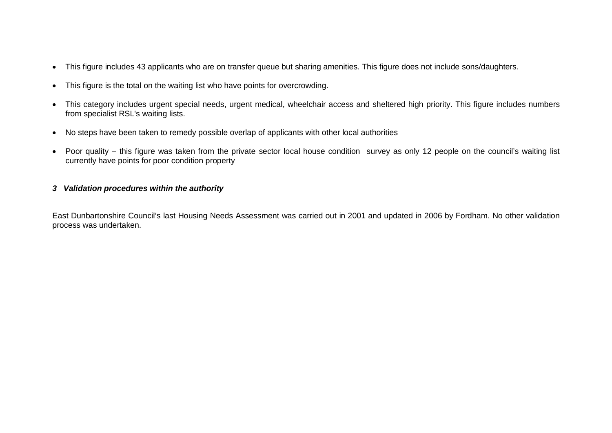- This figure includes 43 applicants who are on transfer queue but sharing amenities. This figure does not include sons/daughters.
- This figure is the total on the waiting list who have points for overcrowding.
- This category includes urgent special needs, urgent medical, wheelchair access and sheltered high priority. This figure includes numbers from specialist RSL's waiting lists.
- No steps have been taken to remedy possible overlap of applicants with other local authorities
- Poor quality this figure was taken from the private sector local house condition survey as only 12 people on the council's waiting list currently have points for poor condition property

### *3 Validation procedures within the authority*

East Dunbartonshire Council's last Housing Needs Assessment was carried out in 2001 and updated in 2006 by Fordham. No other validation process was undertaken.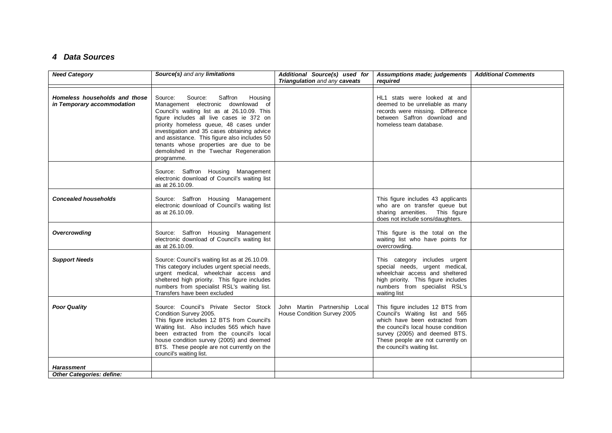### *4 Data Sources*

| <b>Need Category</b>                                        | Source(s) and any limitations                                                                                                                                                                                                                                                                                                                                                                                         | Additional Source(s) used for<br>Triangulation and any caveats | Assumptions made; judgements<br>required                                                                                                                                                                                                         | <b>Additional Comments</b> |
|-------------------------------------------------------------|-----------------------------------------------------------------------------------------------------------------------------------------------------------------------------------------------------------------------------------------------------------------------------------------------------------------------------------------------------------------------------------------------------------------------|----------------------------------------------------------------|--------------------------------------------------------------------------------------------------------------------------------------------------------------------------------------------------------------------------------------------------|----------------------------|
| Homeless households and those<br>in Temporary accommodation | Saffron<br>Source:<br>Source:<br>Housing<br>Management electronic downlowad of<br>Council's waiting list as at 26.10.09. This<br>figure includes all live cases ie 372 on<br>priority homeless queue, 48 cases under<br>investigation and 35 cases obtaining advice<br>and assistance. This figure also includes 50<br>tenants whose properties are due to be<br>demolished in the Twechar Regeneration<br>programme. |                                                                | HL1 stats were looked at and<br>deemed to be unreliable as many<br>records were missing. Difference<br>between Saffron download and<br>homeless team database.                                                                                   |                            |
|                                                             | Source: Saffron Housing Management<br>electronic download of Council's waiting list<br>as at 26.10.09.                                                                                                                                                                                                                                                                                                                |                                                                |                                                                                                                                                                                                                                                  |                            |
| <b>Concealed households</b>                                 | Source: Saffron Housing Management<br>electronic download of Council's waiting list<br>as at 26.10.09.                                                                                                                                                                                                                                                                                                                |                                                                | This figure includes 43 applicants<br>who are on transfer queue but<br>sharing amenities. This figure<br>does not include sons/daughters.                                                                                                        |                            |
| Overcrowding                                                | Source: Saffron Housing Management<br>electronic download of Council's waiting list<br>as at 26.10.09.                                                                                                                                                                                                                                                                                                                |                                                                | This figure is the total on the<br>waiting list who have points for<br>overcrowding.                                                                                                                                                             |                            |
| <b>Support Needs</b>                                        | Source: Council's waiting list as at 26.10.09.<br>This category includes urgent special needs,<br>urgent medical, wheelchair access and<br>sheltered high priority. This figure includes<br>numbers from specialist RSL's waiting list.<br>Transfers have been excluded                                                                                                                                               |                                                                | This category includes urgent<br>special needs, urgent medical,<br>wheelchair access and sheltered<br>high priority. This figure includes<br>numbers from specialist RSL's<br>waiting list                                                       |                            |
| <b>Poor Quality</b>                                         | Source: Council's Private Sector Stock<br>Condition Survey 2005.<br>This figure includes 12 BTS from Council's<br>Waiting list. Also includes 565 which have<br>been extracted from the council's local<br>house condition survey (2005) and deemed<br>BTS. These people are not currently on the<br>council's waiting list.                                                                                          | John Martin Partnership Local<br>House Condition Survey 2005   | This figure includes 12 BTS from<br>Council's Waiting list and 565<br>which have been extracted from<br>the council's local house condition<br>survey (2005) and deemed BTS.<br>These people are not currently on<br>the council's waiting list. |                            |
| <b>Harassment</b><br><b>Other Categories: define:</b>       |                                                                                                                                                                                                                                                                                                                                                                                                                       |                                                                |                                                                                                                                                                                                                                                  |                            |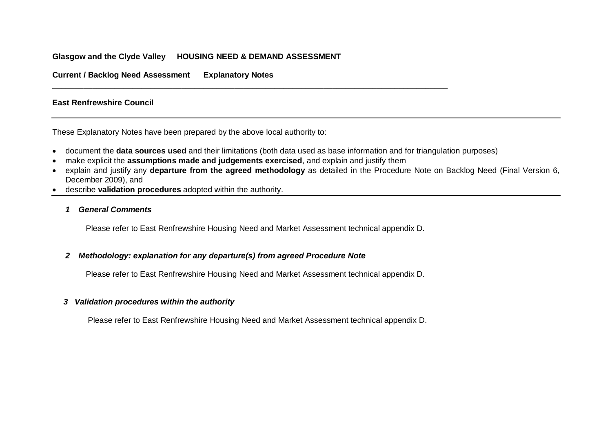### **Glasgow and the Clyde Valley HOUSING NEED & DEMAND ASSESSMENT**

**Current / Backlog Need Assessment Explanatory Notes**

#### **East Renfrewshire Council**

These Explanatory Notes have been prepared by the above local authority to:

- document the **data sources used** and their limitations (both data used as base information and for triangulation purposes)
- make explicit the **assumptions made and judgements exercised**, and explain and justify them
- explain and justify any **departure from the agreed methodology** as detailed in the Procedure Note on Backlog Need (Final Version 6, December 2009), and
- describe **validation procedures** adopted within the authority.
	- *1 General Comments*

Please refer to East Renfrewshire Housing Need and Market Assessment technical appendix D.

\_\_\_\_\_\_\_\_\_\_\_\_\_\_\_\_\_\_\_\_\_\_\_\_\_\_\_\_\_\_\_\_\_\_\_\_\_\_\_\_\_\_\_\_\_\_\_\_\_\_\_\_\_\_\_\_\_\_\_\_\_\_\_\_\_\_\_\_\_\_\_\_\_\_\_\_\_\_\_\_\_\_\_\_\_\_\_\_\_

### *2 Methodology: explanation for any departure(s) from agreed Procedure Note*

Please refer to East Renfrewshire Housing Need and Market Assessment technical appendix D.

### *3 Validation procedures within the authority*

Please refer to East Renfrewshire Housing Need and Market Assessment technical appendix D.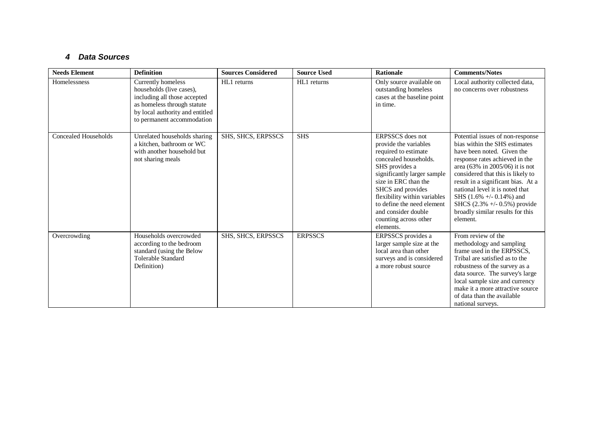### *4 Data Sources*

| <b>Needs Element</b> | <b>Definition</b>                                                                                                                                                              | <b>Sources Considered</b> | <b>Source Used</b> | <b>Rationale</b>                                                                                                                                                                                                                                                                                                    | <b>Comments/Notes</b>                                                                                                                                                                                                                                                                                                                                                                                     |
|----------------------|--------------------------------------------------------------------------------------------------------------------------------------------------------------------------------|---------------------------|--------------------|---------------------------------------------------------------------------------------------------------------------------------------------------------------------------------------------------------------------------------------------------------------------------------------------------------------------|-----------------------------------------------------------------------------------------------------------------------------------------------------------------------------------------------------------------------------------------------------------------------------------------------------------------------------------------------------------------------------------------------------------|
| Homelessness         | Currently homeless<br>households (live cases),<br>including all those accepted<br>as homeless through statute<br>by local authority and entitled<br>to permanent accommodation | HL1 returns               | HL1 returns        | Only source available on<br>outstanding homeless<br>cases at the baseline point<br>in time.                                                                                                                                                                                                                         | Local authority collected data,<br>no concerns over robustness                                                                                                                                                                                                                                                                                                                                            |
| Concealed Households | Unrelated households sharing<br>a kitchen, bathroom or WC<br>with another household but<br>not sharing meals                                                                   | SHS, SHCS, ERPSSCS        | <b>SHS</b>         | ERPSSCS does not<br>provide the variables<br>required to estimate<br>concealed households.<br>SHS provides a<br>significantly larger sample<br>size in ERC than the<br>SHCS and provides<br>flexibility within variables<br>to define the need element<br>and consider double<br>counting across other<br>elements. | Potential issues of non-response<br>bias within the SHS estimates<br>have been noted. Given the<br>response rates achieved in the<br>area $(63\%$ in 2005/06) it is not<br>considered that this is likely to<br>result in a significant bias. At a<br>national level it is noted that<br>SHS $(1.6\% +/- 0.14\%)$ and<br>SHCS $(2.3\% +/- 0.5\%)$ provide<br>broadly similar results for this<br>element. |
| Overcrowding         | Households overcrowded<br>according to the bedroom<br>standard (using the Below<br>Tolerable Standard<br>Definition)                                                           | SHS, SHCS, ERPSSCS        | <b>ERPSSCS</b>     | <b>ERPSSCS</b> provides a<br>larger sample size at the<br>local area than other<br>surveys and is considered<br>a more robust source                                                                                                                                                                                | From review of the<br>methodology and sampling<br>frame used in the ERPSSCS,<br>Tribal are satisfied as to the<br>robustness of the survey as a<br>data source. The survey's large<br>local sample size and currency<br>make it a more attractive source<br>of data than the available<br>national surveys.                                                                                               |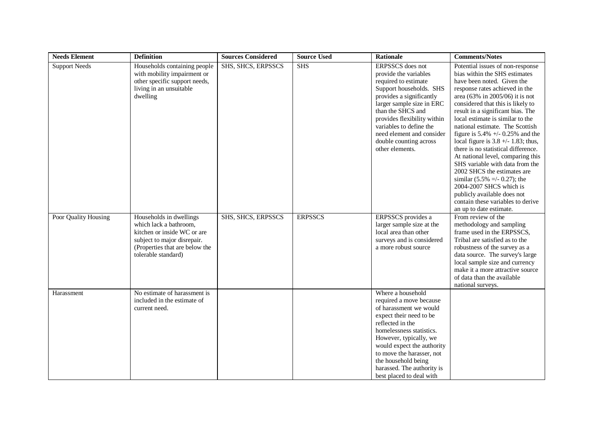| <b>Needs Element</b> | <b>Definition</b>                                                                                                                                                        | <b>Sources Considered</b> | <b>Source Used</b> | Rationale                                                                                                                                                                                                                                                                                                               | <b>Comments/Notes</b>                                                                                                                                                                                                                                                                                                                                                                                                                                                                                                                                                                                                                                                                                              |
|----------------------|--------------------------------------------------------------------------------------------------------------------------------------------------------------------------|---------------------------|--------------------|-------------------------------------------------------------------------------------------------------------------------------------------------------------------------------------------------------------------------------------------------------------------------------------------------------------------------|--------------------------------------------------------------------------------------------------------------------------------------------------------------------------------------------------------------------------------------------------------------------------------------------------------------------------------------------------------------------------------------------------------------------------------------------------------------------------------------------------------------------------------------------------------------------------------------------------------------------------------------------------------------------------------------------------------------------|
| <b>Support Needs</b> | Households containing people<br>with mobility impairment or<br>other specific support needs,<br>living in an unsuitable<br>dwelling                                      | SHS, SHCS, ERPSSCS        | <b>SHS</b>         | ERPSSCS does not<br>provide the variables<br>required to estimate<br>Support households. SHS<br>provides a significantly<br>larger sample size in ERC<br>than the SHCS and<br>provides flexibility within<br>variables to define the<br>need element and consider<br>double counting across<br>other elements.          | Potential issues of non-response<br>bias within the SHS estimates<br>have been noted. Given the<br>response rates achieved in the<br>area (63% in 2005/06) it is not<br>considered that this is likely to<br>result in a significant bias. The<br>local estimate is similar to the<br>national estimate. The Scottish<br>figure is $5.4\% +1.0.25\%$ and the<br>local figure is $3.8 +/- 1.83$ ; thus,<br>there is no statistical difference.<br>At national level, comparing this<br>SHS variable with data from the<br>2002 SHCS the estimates are<br>similar $(5.5\% =/- 0.27)$ ; the<br>2004-2007 SHCS which is<br>publicly available does not<br>contain these variables to derive<br>an up to date estimate. |
| Poor Quality Housing | Households in dwellings<br>which lack a bathroom.<br>kitchen or inside WC or are<br>subject to major disrepair.<br>(Properties that are below the<br>tolerable standard) | SHS, SHCS, ERPSSCS        | <b>ERPSSCS</b>     | ERPSSCS provides a<br>larger sample size at the<br>local area than other<br>surveys and is considered<br>a more robust source                                                                                                                                                                                           | From review of the<br>methodology and sampling<br>frame used in the ERPSSCS,<br>Tribal are satisfied as to the<br>robustness of the survey as a<br>data source. The survey's large<br>local sample size and currency<br>make it a more attractive source<br>of data than the available<br>national surveys.                                                                                                                                                                                                                                                                                                                                                                                                        |
| Harassment           | No estimate of harassment is<br>included in the estimate of<br>current need.                                                                                             |                           |                    | Where a household<br>required a move because<br>of harassment we would<br>expect their need to be<br>reflected in the<br>homelessness statistics.<br>However, typically, we<br>would expect the authority<br>to move the harasser, not<br>the household being<br>harassed. The authority is<br>best placed to deal with |                                                                                                                                                                                                                                                                                                                                                                                                                                                                                                                                                                                                                                                                                                                    |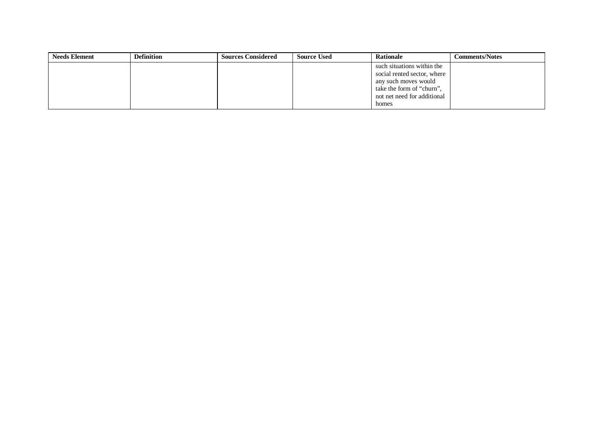| <b>Needs Element</b> | <b>Definition</b> | <b>Sources Considered</b> | <b>Source Used</b> | <b>Rationale</b>            | <b>Comments/Notes</b> |
|----------------------|-------------------|---------------------------|--------------------|-----------------------------|-----------------------|
|                      |                   |                           |                    | such situations within the  |                       |
|                      |                   |                           |                    | social rented sector, where |                       |
|                      |                   |                           |                    | any such moves would        |                       |
|                      |                   |                           |                    | take the form of "churn",   |                       |
|                      |                   |                           |                    | not net need for additional |                       |
|                      |                   |                           |                    | homes                       |                       |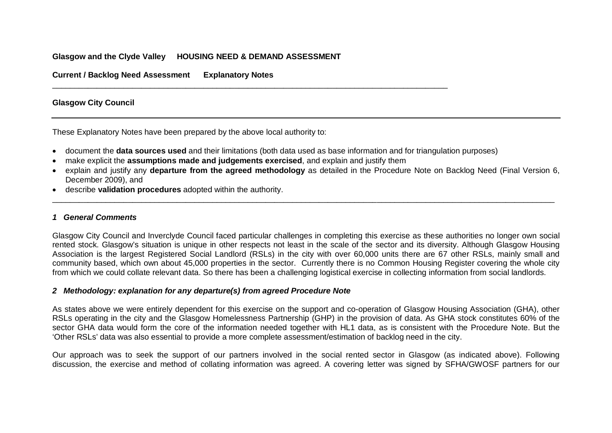### **Glasgow and the Clyde Valley HOUSING NEED & DEMAND ASSESSMENT**

**Current / Backlog Need Assessment Explanatory Notes**

### **Glasgow City Council**

These Explanatory Notes have been prepared by the above local authority to:

- document the **data sources used** and their limitations (both data used as base information and for triangulation purposes)
- make explicit the **assumptions made and judgements exercised**, and explain and justify them

\_\_\_\_\_\_\_\_\_\_\_\_\_\_\_\_\_\_\_\_\_\_\_\_\_\_\_\_\_\_\_\_\_\_\_\_\_\_\_\_\_\_\_\_\_\_\_\_\_\_\_\_\_\_\_\_\_\_\_\_\_\_\_\_\_\_\_\_\_\_\_\_\_\_\_\_\_\_\_\_\_\_\_\_\_\_\_\_\_

• explain and justify any **departure from the agreed methodology** as detailed in the Procedure Note on Backlog Need (Final Version 6, December 2009), and

\_\_\_\_\_\_\_\_\_\_\_\_\_\_\_\_\_\_\_\_\_\_\_\_\_\_\_\_\_\_\_\_\_\_\_\_\_\_\_\_\_\_\_\_\_\_\_\_\_\_\_\_\_\_\_\_\_\_\_\_\_\_\_\_\_\_\_\_\_\_\_\_\_\_\_\_\_\_\_\_\_\_\_\_\_\_\_\_\_\_\_\_\_\_\_\_\_\_\_\_\_\_\_\_\_\_\_\_\_\_\_\_\_

• describe **validation procedures** adopted within the authority.

#### *1 General Comments*

Glasgow City Council and Inverclyde Council faced particular challenges in completing this exercise as these authorities no longer own social rented stock. Glasgow's situation is unique in other respects not least in the scale of the sector and its diversity. Although Glasgow Housing Association is the largest Registered Social Landlord (RSLs) in the city with over 60,000 units there are 67 other RSLs, mainly small and community based, which own about 45,000 properties in the sector. Currently there is no Common Housing Register covering the whole city from which we could collate relevant data. So there has been a challenging logistical exercise in collecting information from social landlords.

#### *2 Methodology: explanation for any departure(s) from agreed Procedure Note*

As states above we were entirely dependent for this exercise on the support and co-operation of Glasgow Housing Association (GHA), other RSLs operating in the city and the Glasgow Homelessness Partnership (GHP) in the provision of data. As GHA stock constitutes 60% of the sector GHA data would form the core of the information needed together with HL1 data, as is consistent with the Procedure Note. But the 'Other RSLs' data was also essential to provide a more complete assessment/estimation of backlog need in the city.

Our approach was to seek the support of our partners involved in the social rented sector in Glasgow (as indicated above). Following discussion, the exercise and method of collating information was agreed. A covering letter was signed by SFHA/GWOSF partners for our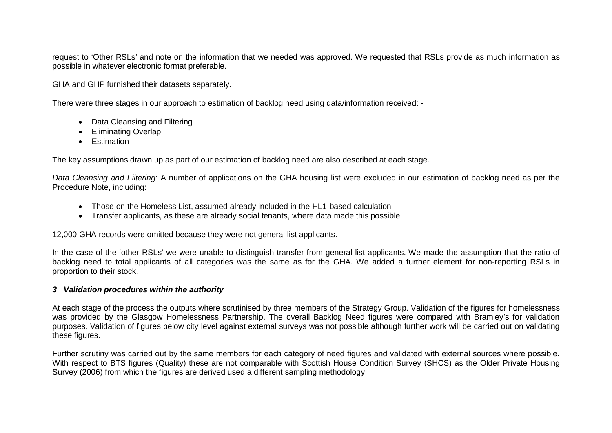request to 'Other RSLs' and note on the information that we needed was approved. We requested that RSLs provide as much information as possible in whatever electronic format preferable.

GHA and GHP furnished their datasets separately.

There were three stages in our approach to estimation of backlog need using data/information received: -

- Data Cleansing and Filtering
- Eliminating Overlap
- Estimation

The key assumptions drawn up as part of our estimation of backlog need are also described at each stage.

*Data Cleansing and Filtering*: A number of applications on the GHA housing list were excluded in our estimation of backlog need as per the Procedure Note, including:

- Those on the Homeless List, assumed already included in the HL1-based calculation
- Transfer applicants, as these are already social tenants, where data made this possible.

12,000 GHA records were omitted because they were not general list applicants.

In the case of the 'other RSLs' we were unable to distinguish transfer from general list applicants. We made the assumption that the ratio of backlog need to total applicants of all categories was the same as for the GHA. We added a further element for non-reporting RSLs in proportion to their stock.

### *3 Validation procedures within the authority*

At each stage of the process the outputs where scrutinised by three members of the Strategy Group. Validation of the figures for homelessness was provided by the Glasgow Homelessness Partnership. The overall Backlog Need figures were compared with Bramley's for validation purposes. Validation of figures below city level against external surveys was not possible although further work will be carried out on validating these figures.

Further scrutiny was carried out by the same members for each category of need figures and validated with external sources where possible. With respect to BTS figures (Quality) these are not comparable with Scottish House Condition Survey (SHCS) as the Older Private Housing Survey (2006) from which the figures are derived used a different sampling methodology.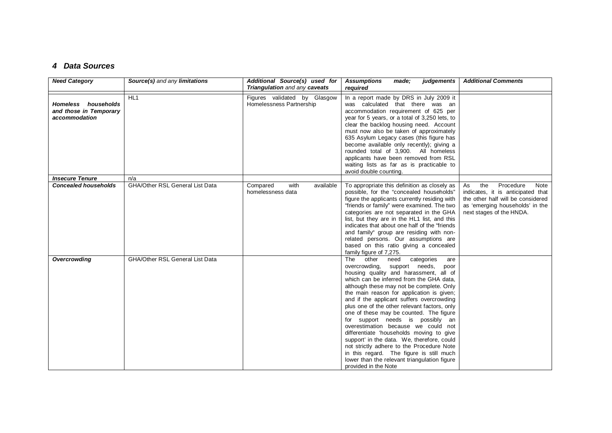## *4 Data Sources*

| <b>Need Category</b>                                           | Source(s) and any limitations          | Additional Source(s) used for<br>Triangulation and any caveats | <b>Assumptions</b><br>made:<br>judgements<br>required                                                                                                                                                                                                                                                                                                                                                                                                                                                                                                                                                                                                                                                                                          | <b>Additional Comments</b>                                                                                                                                              |
|----------------------------------------------------------------|----------------------------------------|----------------------------------------------------------------|------------------------------------------------------------------------------------------------------------------------------------------------------------------------------------------------------------------------------------------------------------------------------------------------------------------------------------------------------------------------------------------------------------------------------------------------------------------------------------------------------------------------------------------------------------------------------------------------------------------------------------------------------------------------------------------------------------------------------------------------|-------------------------------------------------------------------------------------------------------------------------------------------------------------------------|
| Homeless households<br>and those in Temporary<br>accommodation | HL <sub>1</sub>                        | Figures validated by Glasgow<br>Homelessness Partnership       | In a report made by DRS in July 2009 it<br>was calculated that there was an<br>accommodation requirement of 625 per<br>year for 5 years, or a total of 3,250 lets, to<br>clear the backlog housing need. Account<br>must now also be taken of approximately<br>635 Asylum Legacy cases (this figure has<br>become available only recently); giving a<br>rounded total of 3,900. All homeless<br>applicants have been removed from RSL<br>waiting lists as far as is practicable to<br>avoid double counting.                                                                                                                                                                                                                                   |                                                                                                                                                                         |
| <b>Insecure Tenure</b>                                         | n/a                                    |                                                                |                                                                                                                                                                                                                                                                                                                                                                                                                                                                                                                                                                                                                                                                                                                                                |                                                                                                                                                                         |
| <b>Concealed households</b>                                    | <b>GHA/Other RSL General List Data</b> | Compared<br>with<br>available<br>homelessness data             | To appropriate this definition as closely as<br>possible, for the "concealed households"<br>figure the applicants currently residing with<br>"friends or family" were examined. The two<br>categories are not separated in the GHA<br>list, but they are in the HL1 list, and this<br>indicates that about one half of the "friends"<br>and family" group are residing with non-<br>related persons. Our assumptions are<br>based on this ratio giving a concealed<br>family figure of 7,275.                                                                                                                                                                                                                                                  | the<br>Procedure<br>Note<br>As<br>indicates, it is anticipated that<br>the other half will be considered<br>as 'emerging households' in the<br>next stages of the HNDA. |
| Overcrowding                                                   | <b>GHA/Other RSL General List Data</b> |                                                                | The<br>categories<br>other<br>need<br>are<br>overcrowding, support needs,<br>poor<br>housing quality and harassment, all of<br>which can be inferred from the GHA data.<br>although these may not be complete. Only<br>the main reason for application is given;<br>and if the applicant suffers overcrowding<br>plus one of the other relevant factors, only<br>one of these may be counted. The figure<br>for support needs is possibly an<br>overestimation because we could not<br>differentiate 'households moving to give<br>support' in the data. We, therefore, could<br>not strictly adhere to the Procedure Note<br>in this regard. The figure is still much<br>lower than the relevant triangulation figure<br>provided in the Note |                                                                                                                                                                         |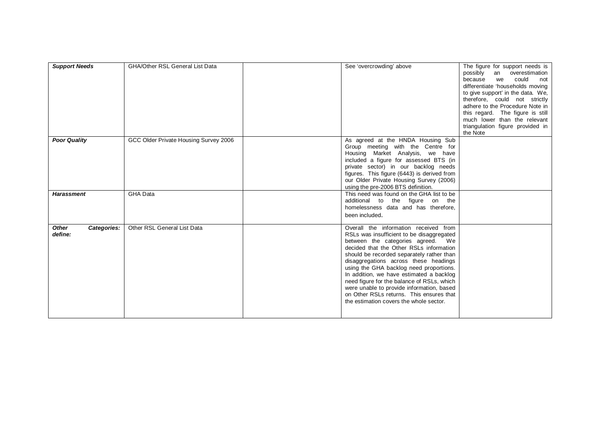| <b>Support Needs</b>                   | <b>GHA/Other RSL General List Data</b> | See 'overcrowding' above                                                                                                                                                                                                                                                                                                                                                                                                                                                                                                          | The figure for support needs is<br>possibly an overestimation<br>could<br>because<br>we<br>not<br>differentiate 'households moving<br>to give support' in the data. We,<br>therefore, could not strictly<br>adhere to the Procedure Note in<br>this regard. The figure is still<br>much lower than the relevant<br>triangulation figure provided in<br>the Note |
|----------------------------------------|----------------------------------------|-----------------------------------------------------------------------------------------------------------------------------------------------------------------------------------------------------------------------------------------------------------------------------------------------------------------------------------------------------------------------------------------------------------------------------------------------------------------------------------------------------------------------------------|-----------------------------------------------------------------------------------------------------------------------------------------------------------------------------------------------------------------------------------------------------------------------------------------------------------------------------------------------------------------|
| <b>Poor Quality</b>                    | GCC Older Private Housing Survey 2006  | As agreed at the HNDA Housing Sub<br>Group meeting with the Centre for<br>Housing Market Analysis, we have<br>included a figure for assessed BTS (in<br>private sector) in our backlog needs<br>figures. This figure (6443) is derived from<br>our Older Private Housing Survey (2006)<br>using the pre-2006 BTS definition.                                                                                                                                                                                                      |                                                                                                                                                                                                                                                                                                                                                                 |
| <b>Harassment</b>                      | <b>GHA Data</b>                        | This need was found on the GHA list to be<br>additional to the figure on the<br>homelessness data and has therefore.<br>been included.                                                                                                                                                                                                                                                                                                                                                                                            |                                                                                                                                                                                                                                                                                                                                                                 |
| <b>Other</b><br>Categories:<br>define: | Other RSL General List Data            | Overall the information received from<br>RSLs was insufficient to be disaggregated<br>between the categories agreed. We<br>decided that the Other RSLs information<br>should be recorded separately rather than<br>disaggregations across these headings<br>using the GHA backlog need proportions.<br>In addition, we have estimated a backlog<br>need figure for the balance of RSLs, which<br>were unable to provide information, based<br>on Other RSLs returns. This ensures that<br>the estimation covers the whole sector. |                                                                                                                                                                                                                                                                                                                                                                 |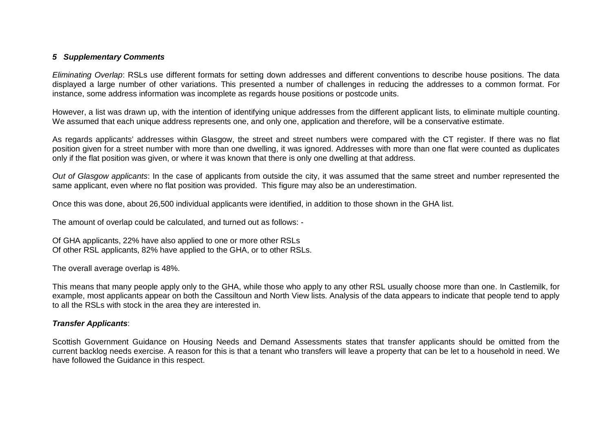### *5 Supplementary Comments*

*Eliminating Overlap*: RSLs use different formats for setting down addresses and different conventions to describe house positions. The data displayed a large number of other variations. This presented a number of challenges in reducing the addresses to a common format. For instance, some address information was incomplete as regards house positions or postcode units.

However, a list was drawn up, with the intention of identifying unique addresses from the different applicant lists, to eliminate multiple counting. We assumed that each unique address represents one, and only one, application and therefore, will be a conservative estimate.

As regards applicants' addresses within Glasgow, the street and street numbers were compared with the CT register. If there was no flat position given for a street number with more than one dwelling, it was ignored. Addresses with more than one flat were counted as duplicates only if the flat position was given, or where it was known that there is only one dwelling at that address.

*Out of Glasgow applicants*: In the case of applicants from outside the city, it was assumed that the same street and number represented the same applicant, even where no flat position was provided. This figure may also be an underestimation.

Once this was done, about 26,500 individual applicants were identified, in addition to those shown in the GHA list.

The amount of overlap could be calculated, and turned out as follows: -

Of GHA applicants, 22% have also applied to one or more other RSLs Of other RSL applicants, 82% have applied to the GHA, or to other RSLs.

The overall average overlap is 48%.

This means that many people apply only to the GHA, while those who apply to any other RSL usually choose more than one. In Castlemilk, for example, most applicants appear on both the Cassiltoun and North View lists. Analysis of the data appears to indicate that people tend to apply to all the RSLs with stock in the area they are interested in.

#### *Transfer Applicants*:

Scottish Government Guidance on Housing Needs and Demand Assessments states that transfer applicants should be omitted from the current backlog needs exercise. A reason for this is that a tenant who transfers will leave a property that can be let to a household in need. We have followed the Guidance in this respect.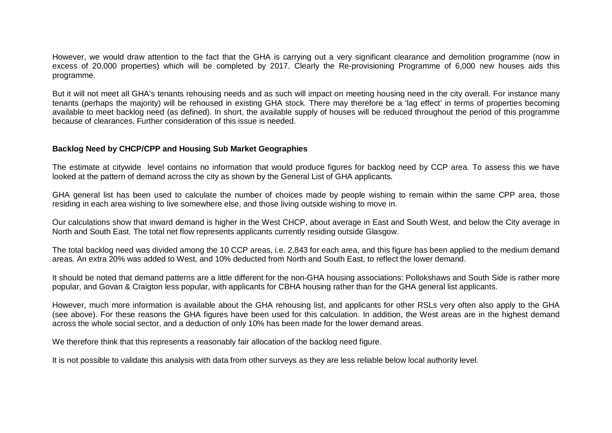However, we would draw attention to the fact that the GHA is carrying out a very significant clearance and demolition programme (now in excess of 20,000 properties) which will be completed by 2017. Clearly the Re-provisioning Programme of 6,000 new houses aids this programme.

But it will not meet all GHA's tenants rehousing needs and as such will impact on meeting housing need in the city overall. For instance many tenants (perhaps the majority) will be rehoused in existing GHA stock. There may therefore be a 'lag effect' in terms of properties becoming available to meet backlog need (as defined). In short, the available supply of houses will be reduced throughout the period of this programme because of clearances. Further consideration of this issue is needed.

### **Backlog Need by CHCP/CPP and Housing Sub Market Geographies**

The estimate at citywide level contains no information that would produce figures for backlog need by CCP area. To assess this we have looked at the pattern of demand across the city as shown by the General List of GHA applicants.

GHA general list has been used to calculate the number of choices made by people wishing to remain within the same CPP area, those residing in each area wishing to live somewhere else, and those living outside wishing to move in.

Our calculations show that inward demand is higher in the West CHCP, about average in East and South West, and below the City average in North and South East. The total net flow represents applicants currently residing outside Glasgow.

The total backlog need was divided among the 10 CCP areas, i.e. 2,843 for each area, and this figure has been applied to the medium demand areas. An extra 20% was added to West, and 10% deducted from North and South East, to reflect the lower demand.

It should be noted that demand patterns are a little different for the non-GHA housing associations: Pollokshaws and South Side is rather more popular, and Govan & Craigton less popular, with applicants for CBHA housing rather than for the GHA general list applicants.

However, much more information is available about the GHA rehousing list, and applicants for other RSLs very often also apply to the GHA (see above). For these reasons the GHA figures have been used for this calculation. In addition, the West areas are in the highest demand across the whole social sector, and a deduction of only 10% has been made for the lower demand areas.

We therefore think that this represents a reasonably fair allocation of the backlog need figure.

It is not possible to validate this analysis with data from other surveys as they are less reliable below local authority level.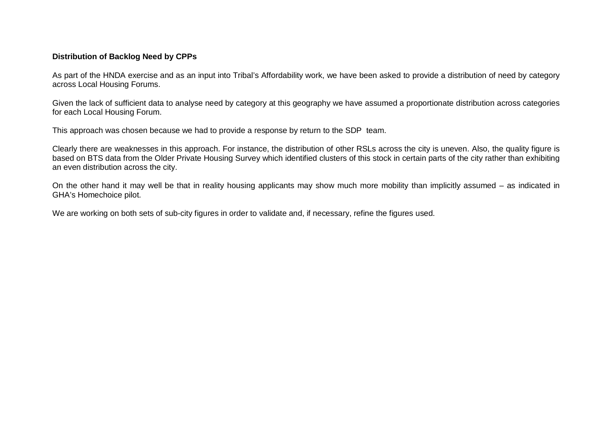### **Distribution of Backlog Need by CPPs**

As part of the HNDA exercise and as an input into Tribal's Affordability work, we have been asked to provide a distribution of need by category across Local Housing Forums.

Given the lack of sufficient data to analyse need by category at this geography we have assumed a proportionate distribution across categories for each Local Housing Forum.

This approach was chosen because we had to provide a response by return to the SDP team.

Clearly there are weaknesses in this approach. For instance, the distribution of other RSLs across the city is uneven. Also, the quality figure is based on BTS data from the Older Private Housing Survey which identified clusters of this stock in certain parts of the city rather than exhibiting an even distribution across the city.

On the other hand it may well be that in reality housing applicants may show much more mobility than implicitly assumed – as indicated in GHA's Homechoice pilot.

We are working on both sets of sub-city figures in order to validate and, if necessary, refine the figures used.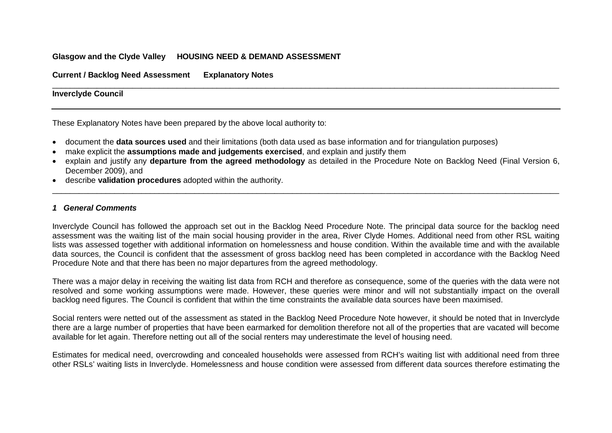### **Glasgow and the Clyde Valley HOUSING NEED & DEMAND ASSESSMENT**

**Current / Backlog Need Assessment Explanatory Notes**

#### \_\_\_\_\_\_\_\_\_\_\_\_\_\_\_\_\_\_\_\_\_\_\_\_\_\_\_\_\_\_\_\_\_\_\_\_\_\_\_\_\_\_\_\_\_\_\_\_\_\_\_\_\_\_\_\_\_\_\_\_\_\_\_\_\_\_\_\_\_\_\_\_\_\_\_\_\_\_\_\_\_\_\_\_\_\_\_\_\_\_\_\_\_\_\_\_\_\_\_\_\_\_\_\_\_\_\_\_\_\_\_\_\_\_ **Inverclyde Council**

These Explanatory Notes have been prepared by the above local authority to:

- document the **data sources used** and their limitations (both data used as base information and for triangulation purposes)
- make explicit the **assumptions made and judgements exercised**, and explain and justify them
- explain and justify any **departure from the agreed methodology** as detailed in the Procedure Note on Backlog Need (Final Version 6, December 2009), and

\_\_\_\_\_\_\_\_\_\_\_\_\_\_\_\_\_\_\_\_\_\_\_\_\_\_\_\_\_\_\_\_\_\_\_\_\_\_\_\_\_\_\_\_\_\_\_\_\_\_\_\_\_\_\_\_\_\_\_\_\_\_\_\_\_\_\_\_\_\_\_\_\_\_\_\_\_\_\_\_\_\_\_\_\_\_\_\_\_\_\_\_\_\_\_\_\_\_\_\_\_\_\_\_\_\_\_\_\_\_\_\_\_\_

• describe **validation procedures** adopted within the authority.

#### *1 General Comments*

Inverclyde Council has followed the approach set out in the Backlog Need Procedure Note. The principal data source for the backlog need assessment was the waiting list of the main social housing provider in the area, River Clyde Homes. Additional need from other RSL waiting lists was assessed together with additional information on homelessness and house condition. Within the available time and with the available data sources, the Council is confident that the assessment of gross backlog need has been completed in accordance with the Backlog Need Procedure Note and that there has been no major departures from the agreed methodology.

There was a major delay in receiving the waiting list data from RCH and therefore as consequence, some of the queries with the data were not resolved and some working assumptions were made. However, these queries were minor and will not substantially impact on the overall backlog need figures. The Council is confident that within the time constraints the available data sources have been maximised.

Social renters were netted out of the assessment as stated in the Backlog Need Procedure Note however, it should be noted that in Inverclyde there are a large number of properties that have been earmarked for demolition therefore not all of the properties that are vacated will become available for let again. Therefore netting out all of the social renters may underestimate the level of housing need.

Estimates for medical need, overcrowding and concealed households were assessed from RCH's waiting list with additional need from three other RSLs' waiting lists in Inverclyde. Homelessness and house condition were assessed from different data sources therefore estimating the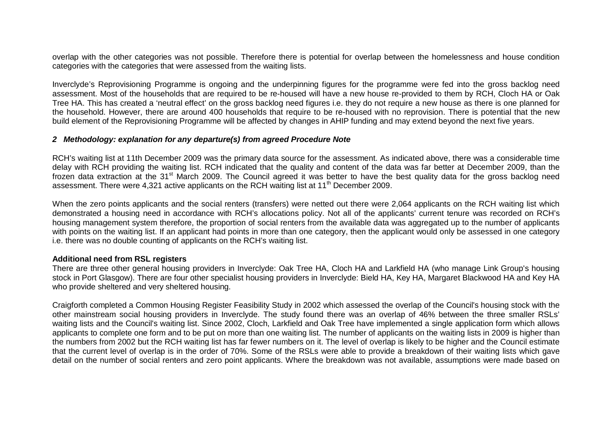overlap with the other categories was not possible. Therefore there is potential for overlap between the homelessness and house condition categories with the categories that were assessed from the waiting lists.

Inverclyde's Reprovisioning Programme is ongoing and the underpinning figures for the programme were fed into the gross backlog need assessment. Most of the households that are required to be re-housed will have a new house re-provided to them by RCH, Cloch HA or Oak Tree HA. This has created a 'neutral effect' on the gross backlog need figures i.e. they do not require a new house as there is one planned for the household. However, there are around 400 households that require to be re-housed with no reprovision. There is potential that the new build element of the Reprovisioning Programme will be affected by changes in AHIP funding and may extend beyond the next five years.

#### *2 Methodology: explanation for any departure(s) from agreed Procedure Note*

RCH's waiting list at 11th December 2009 was the primary data source for the assessment. As indicated above, there was a considerable time delay with RCH providing the waiting list. RCH indicated that the quality and content of the data was far better at December 2009, than the frozen data extraction at the 31<sup>st</sup> March 2009. The Council agreed it was better to have the best quality data for the gross backlog need assessment. There were 4,321 active applicants on the RCH waiting list at 11<sup>th</sup> December 2009.

When the zero points applicants and the social renters (transfers) were netted out there were 2,064 applicants on the RCH waiting list which demonstrated a housing need in accordance with RCH's allocations policy. Not all of the applicants' current tenure was recorded on RCH's housing management system therefore, the proportion of social renters from the available data was aggregated up to the number of applicants with points on the waiting list. If an applicant had points in more than one category, then the applicant would only be assessed in one category i.e. there was no double counting of applicants on the RCH's waiting list.

#### **Additional need from RSL registers**

There are three other general housing providers in Inverclyde: Oak Tree HA, Cloch HA and Larkfield HA (who manage Link Group's housing stock in Port Glasgow). There are four other specialist housing providers in Inverclyde: Bield HA, Key HA, Margaret Blackwood HA and Key HA who provide sheltered and very sheltered housing.

Craigforth completed a Common Housing Register Feasibility Study in 2002 which assessed the overlap of the Council's housing stock with the other mainstream social housing providers in Inverclyde. The study found there was an overlap of 46% between the three smaller RSLs' waiting lists and the Council's waiting list. Since 2002, Cloch, Larkfield and Oak Tree have implemented a single application form which allows applicants to complete one form and to be put on more than one waiting list. The number of applicants on the waiting lists in 2009 is higher than the numbers from 2002 but the RCH waiting list has far fewer numbers on it. The level of overlap is likely to be higher and the Council estimate that the current level of overlap is in the order of 70%. Some of the RSLs were able to provide a breakdown of their waiting lists which gave detail on the number of social renters and zero point applicants. Where the breakdown was not available, assumptions were made based on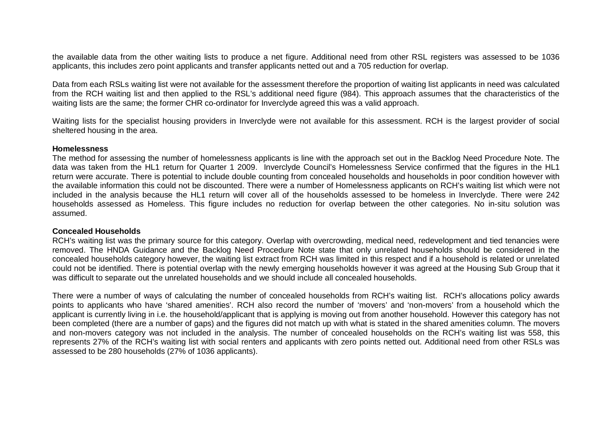the available data from the other waiting lists to produce a net figure. Additional need from other RSL registers was assessed to be 1036 applicants, this includes zero point applicants and transfer applicants netted out and a 705 reduction for overlap.

Data from each RSLs waiting list were not available for the assessment therefore the proportion of waiting list applicants in need was calculated from the RCH waiting list and then applied to the RSL's additional need figure (984). This approach assumes that the characteristics of the waiting lists are the same; the former CHR co-ordinator for Inverclyde agreed this was a valid approach.

Waiting lists for the specialist housing providers in Inverclyde were not available for this assessment. RCH is the largest provider of social sheltered housing in the area.

#### **Homelessness**

The method for assessing the number of homelessness applicants is line with the approach set out in the Backlog Need Procedure Note. The data was taken from the HL1 return for Quarter 1 2009. Inverclyde Council's Homelessness Service confirmed that the figures in the HL1 return were accurate. There is potential to include double counting from concealed households and households in poor condition however with the available information this could not be discounted. There were a number of Homelessness applicants on RCH's waiting list which were not included in the analysis because the HL1 return will cover all of the households assessed to be homeless in Inverclyde. There were 242 households assessed as Homeless. This figure includes no reduction for overlap between the other categories. No in-situ solution was assumed.

#### **Concealed Households**

RCH's waiting list was the primary source for this category. Overlap with overcrowding, medical need, redevelopment and tied tenancies were removed. The HNDA Guidance and the Backlog Need Procedure Note state that only unrelated households should be considered in the concealed households category however, the waiting list extract from RCH was limited in this respect and if a household is related or unrelated could not be identified. There is potential overlap with the newly emerging households however it was agreed at the Housing Sub Group that it was difficult to separate out the unrelated households and we should include all concealed households.

There were a number of ways of calculating the number of concealed households from RCH's waiting list. RCH's allocations policy awards points to applicants who have 'shared amenities'. RCH also record the number of 'movers' and 'non-movers' from a household which the applicant is currently living in i.e. the household/applicant that is applying is moving out from another household. However this category has not been completed (there are a number of gaps) and the figures did not match up with what is stated in the shared amenities column. The movers and non-movers category was not included in the analysis. The number of concealed households on the RCH's waiting list was 558, this represents 27% of the RCH's waiting list with social renters and applicants with zero points netted out. Additional need from other RSLs was assessed to be 280 households (27% of 1036 applicants).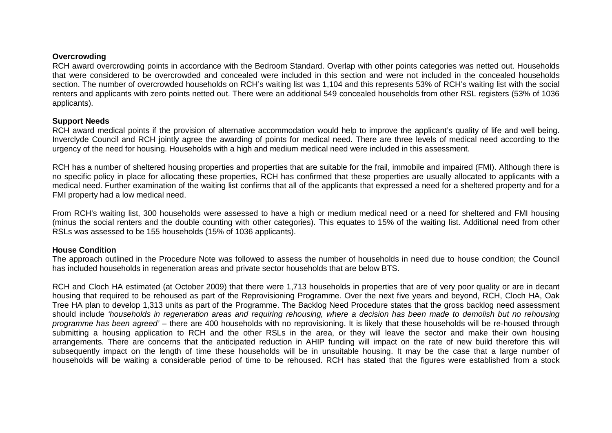#### **Overcrowding**

RCH award overcrowding points in accordance with the Bedroom Standard. Overlap with other points categories was netted out. Households that were considered to be overcrowded and concealed were included in this section and were not included in the concealed households section. The number of overcrowded households on RCH's waiting list was 1,104 and this represents 53% of RCH's waiting list with the social renters and applicants with zero points netted out. There were an additional 549 concealed households from other RSL registers (53% of 1036 applicants).

#### **Support Needs**

RCH award medical points if the provision of alternative accommodation would help to improve the applicant's quality of life and well being. Inverclyde Council and RCH jointly agree the awarding of points for medical need. There are three levels of medical need according to the urgency of the need for housing. Households with a high and medium medical need were included in this assessment.

RCH has a number of sheltered housing properties and properties that are suitable for the frail, immobile and impaired (FMI). Although there is no specific policy in place for allocating these properties, RCH has confirmed that these properties are usually allocated to applicants with a medical need. Further examination of the waiting list confirms that all of the applicants that expressed a need for a sheltered property and for a FMI property had a low medical need.

From RCH's waiting list, 300 households were assessed to have a high or medium medical need or a need for sheltered and FMI housing (minus the social renters and the double counting with other categories). This equates to 15% of the waiting list. Additional need from other RSLs was assessed to be 155 households (15% of 1036 applicants).

#### **House Condition**

The approach outlined in the Procedure Note was followed to assess the number of households in need due to house condition; the Council has included households in regeneration areas and private sector households that are below BTS.

RCH and Cloch HA estimated (at October 2009) that there were 1,713 households in properties that are of very poor quality or are in decant housing that required to be rehoused as part of the Reprovisioning Programme. Over the next five years and beyond, RCH, Cloch HA, Oak Tree HA plan to develop 1,313 units as part of the Programme. The Backlog Need Procedure states that the gross backlog need assessment should include *'households in regeneration areas and requiring rehousing, where a decision has been made to demolish but no rehousing programme has been agreed'* – there are 400 households with no reprovisioning. It is likely that these households will be re-housed through submitting a housing application to RCH and the other RSLs in the area, or they will leave the sector and make their own housing arrangements. There are concerns that the anticipated reduction in AHIP funding will impact on the rate of new build therefore this will subsequently impact on the length of time these households will be in unsuitable housing. It may be the case that a large number of households will be waiting a considerable period of time to be rehoused. RCH has stated that the figures were established from a stock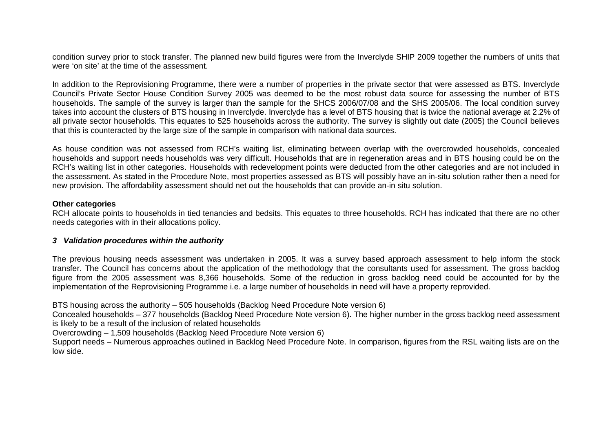condition survey prior to stock transfer. The planned new build figures were from the Inverclyde SHIP 2009 together the numbers of units that were 'on site' at the time of the assessment.

In addition to the Reprovisioning Programme, there were a number of properties in the private sector that were assessed as BTS. Inverclyde Council's Private Sector House Condition Survey 2005 was deemed to be the most robust data source for assessing the number of BTS households. The sample of the survey is larger than the sample for the SHCS 2006/07/08 and the SHS 2005/06. The local condition survey takes into account the clusters of BTS housing in Inverclyde. Inverclyde has a level of BTS housing that is twice the national average at 2.2% of all private sector households. This equates to 525 households across the authority. The survey is slightly out date (2005) the Council believes that this is counteracted by the large size of the sample in comparison with national data sources.

As house condition was not assessed from RCH's waiting list, eliminating between overlap with the overcrowded households, concealed households and support needs households was very difficult. Households that are in regeneration areas and in BTS housing could be on the RCH's waiting list in other categories. Households with redevelopment points were deducted from the other categories and are not included in the assessment. As stated in the Procedure Note, most properties assessed as BTS will possibly have an in-situ solution rather then a need for new provision. The affordability assessment should net out the households that can provide an-in situ solution.

#### **Other categories**

RCH allocate points to households in tied tenancies and bedsits. This equates to three households. RCH has indicated that there are no other needs categories with in their allocations policy.

#### *3 Validation procedures within the authority*

The previous housing needs assessment was undertaken in 2005. It was a survey based approach assessment to help inform the stock transfer. The Council has concerns about the application of the methodology that the consultants used for assessment. The gross backlog figure from the 2005 assessment was 8,366 households. Some of the reduction in gross backlog need could be accounted for by the implementation of the Reprovisioning Programme i.e. a large number of households in need will have a property reprovided.

BTS housing across the authority – 505 households (Backlog Need Procedure Note version 6)

Concealed households – 377 households (Backlog Need Procedure Note version 6). The higher number in the gross backlog need assessment is likely to be a result of the inclusion of related households

Overcrowding – 1,509 households (Backlog Need Procedure Note version 6)

Support needs – Numerous approaches outlined in Backlog Need Procedure Note. In comparison, figures from the RSL waiting lists are on the low side.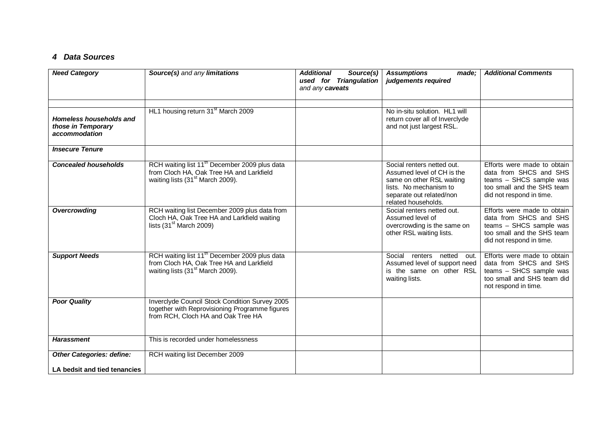### *4 Data Sources*

| <b>Need Category</b>                                             | Source(s) and any limitations                                                                                                                         | <b>Additional</b><br>Source(s)<br>used for Triangulation<br>and any caveats | <b>Assumptions</b><br>made:<br>judgements required                                                                                                                 | <b>Additional Comments</b>                                                                                                                 |
|------------------------------------------------------------------|-------------------------------------------------------------------------------------------------------------------------------------------------------|-----------------------------------------------------------------------------|--------------------------------------------------------------------------------------------------------------------------------------------------------------------|--------------------------------------------------------------------------------------------------------------------------------------------|
| Homeless households and<br>those in Temporary<br>accommodation   | HL1 housing return 31 <sup>st</sup> March 2009                                                                                                        |                                                                             | No in-situ solution. HL1 will<br>return cover all of Inverclyde<br>and not just largest RSL.                                                                       |                                                                                                                                            |
| <b>Insecure Tenure</b>                                           |                                                                                                                                                       |                                                                             |                                                                                                                                                                    |                                                                                                                                            |
| <b>Concealed households</b>                                      | RCH waiting list 11 <sup>th</sup> December 2009 plus data<br>from Cloch HA, Oak Tree HA and Larkfield<br>waiting lists (31 <sup>st</sup> March 2009). |                                                                             | Social renters netted out.<br>Assumed level of CH is the<br>same on other RSL waiting<br>lists. No mechanism to<br>separate out related/non<br>related households. | Efforts were made to obtain<br>data from SHCS and SHS<br>teams - SHCS sample was<br>too small and the SHS team<br>did not respond in time. |
| Overcrowding                                                     | RCH waiting list December 2009 plus data from<br>Cloch HA, Oak Tree HA and Larkfield waiting<br>lists $(31st March 2009)$                             |                                                                             | Social renters netted out.<br>Assumed level of<br>overcrowding is the same on<br>other RSL waiting lists.                                                          | Efforts were made to obtain<br>data from SHCS and SHS<br>teams - SHCS sample was<br>too small and the SHS team<br>did not respond in time. |
| <b>Support Needs</b>                                             | RCH waiting list 11 <sup>th</sup> December 2009 plus data<br>from Cloch HA, Oak Tree HA and Larkfield<br>waiting lists (31 <sup>st</sup> March 2009). |                                                                             | Social<br>renters netted out.<br>Assumed level of support need<br>is the same on other RSL<br>waiting lists.                                                       | Efforts were made to obtain<br>data from SHCS and SHS<br>teams - SHCS sample was<br>too small and SHS team did<br>not respond in time.     |
| <b>Poor Quality</b>                                              | Inverclyde Council Stock Condition Survey 2005<br>together with Reprovisioning Programme figures<br>from RCH, Cloch HA and Oak Tree HA                |                                                                             |                                                                                                                                                                    |                                                                                                                                            |
| <b>Harassment</b>                                                | This is recorded under homelessness                                                                                                                   |                                                                             |                                                                                                                                                                    |                                                                                                                                            |
| <b>Other Categories: define:</b><br>LA bedsit and tied tenancies | RCH waiting list December 2009                                                                                                                        |                                                                             |                                                                                                                                                                    |                                                                                                                                            |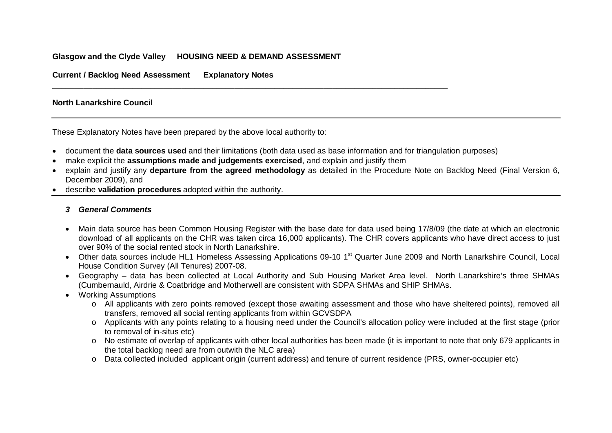### **Glasgow and the Clyde Valley HOUSING NEED & DEMAND ASSESSMENT**

**Current / Backlog Need Assessment Explanatory Notes**

### **North Lanarkshire Council**

These Explanatory Notes have been prepared by the above local authority to:

- document the **data sources used** and their limitations (both data used as base information and for triangulation purposes)
- make explicit the **assumptions made and judgements exercised**, and explain and justify them

\_\_\_\_\_\_\_\_\_\_\_\_\_\_\_\_\_\_\_\_\_\_\_\_\_\_\_\_\_\_\_\_\_\_\_\_\_\_\_\_\_\_\_\_\_\_\_\_\_\_\_\_\_\_\_\_\_\_\_\_\_\_\_\_\_\_\_\_\_\_\_\_\_\_\_\_\_\_\_\_\_\_\_\_\_\_\_\_\_

- explain and justify any **departure from the agreed methodology** as detailed in the Procedure Note on Backlog Need (Final Version 6, December 2009), and
- describe **validation procedures** adopted within the authority.

### *3 General Comments*

- Main data source has been Common Housing Register with the base date for data used being 17/8/09 (the date at which an electronic download of all applicants on the CHR was taken circa 16,000 applicants). The CHR covers applicants who have direct access to just over 90% of the social rented stock in North Lanarkshire.
- Other data sources include HL1 Homeless Assessing Applications 09-10 1<sup>st</sup> Quarter June 2009 and North Lanarkshire Council, Local House Condition Survey (All Tenures) 2007-08.
- Geography data has been collected at Local Authority and Sub Housing Market Area level. North Lanarkshire's three SHMAs (Cumbernauld, Airdrie & Coatbridge and Motherwell are consistent with SDPA SHMAs and SHIP SHMAs.
- Working Assumptions
	- o All applicants with zero points removed (except those awaiting assessment and those who have sheltered points), removed all transfers, removed all social renting applicants from within GCVSDPA
	- o Applicants with any points relating to a housing need under the Council's allocation policy were included at the first stage (prior to removal of in-situs etc)
	- o No estimate of overlap of applicants with other local authorities has been made (it is important to note that only 679 applicants in the total backlog need are from outwith the NLC area)
	- o Data collected included applicant origin (current address) and tenure of current residence (PRS, owner-occupier etc)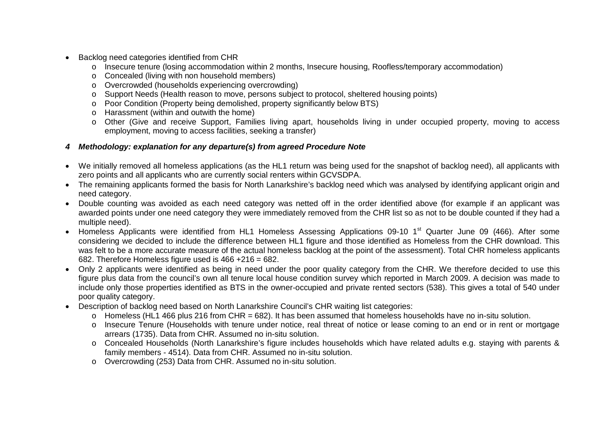- Backlog need categories identified from CHR
	- o Insecure tenure (losing accommodation within 2 months, Insecure housing, Roofless/temporary accommodation)
	- o Concealed (living with non household members)
	- o Overcrowded (households experiencing overcrowding)
	- o Support Needs (Health reason to move, persons subject to protocol, sheltered housing points)
	- o Poor Condition (Property being demolished, property significantly below BTS)
	- o Harassment (within and outwith the home)
	- o Other (Give and receive Support, Families living apart, households living in under occupied property, moving to access employment, moving to access facilities, seeking a transfer)

### *4 Methodology: explanation for any departure(s) from agreed Procedure Note*

- We initially removed all homeless applications (as the HL1 return was being used for the snapshot of backlog need), all applicants with zero points and all applicants who are currently social renters within GCVSDPA.
- The remaining applicants formed the basis for North Lanarkshire's backlog need which was analysed by identifying applicant origin and need category.
- Double counting was avoided as each need category was netted off in the order identified above (for example if an applicant was awarded points under one need category they were immediately removed from the CHR list so as not to be double counted if they had a multiple need).
- Homeless Applicants were identified from HL1 Homeless Assessing Applications 09-10 1<sup>st</sup> Quarter June 09 (466). After some considering we decided to include the difference between HL1 figure and those identified as Homeless from the CHR download. This was felt to be a more accurate measure of the actual homeless backlog at the point of the assessment). Total CHR homeless applicants 682. Therefore Homeless figure used is 466 +216 = 682.
- Only 2 applicants were identified as being in need under the poor quality category from the CHR. We therefore decided to use this figure plus data from the council's own all tenure local house condition survey which reported in March 2009. A decision was made to include only those properties identified as BTS in the owner-occupied and private rented sectors (538). This gives a total of 540 under poor quality category.
- Description of backlog need based on North Lanarkshire Council's CHR waiting list categories:
	- o Homeless (HL1 466 plus 216 from CHR = 682). It has been assumed that homeless households have no in-situ solution.
	- o Insecure Tenure (Households with tenure under notice, real threat of notice or lease coming to an end or in rent or mortgage arrears (1735). Data from CHR. Assumed no in-situ solution.
	- o Concealed Households (North Lanarkshire's figure includes households which have related adults e.g. staying with parents & family members - 4514). Data from CHR. Assumed no in-situ solution.
	- o Overcrowding (253) Data from CHR. Assumed no in-situ solution.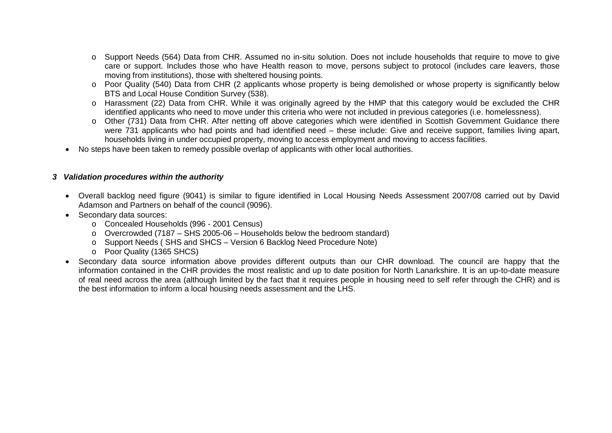- o Support Needs (564) Data from CHR. Assumed no in-situ solution. Does not include households that require to move to give care or support. Includes those who have Health reason to move, persons subject to protocol (includes care leavers, those moving from institutions), those with sheltered housing points.
- o Poor Quality (540) Data from CHR (2 applicants whose property is being demolished or whose property is significantly below BTS and Local House Condition Survey (538).
- o Harassment (22) Data from CHR. While it was originally agreed by the HMP that this category would be excluded the CHR identified applicants who need to move under this criteria who were not included in previous categories (i.e. homelessness).
- o Other (731) Data from CHR. After netting off above categories which were identified in Scottish Government Guidance there were 731 applicants who had points and had identified need – these include: Give and receive support, families living apart, households living in under occupied property, moving to access employment and moving to access facilities.
- No steps have been taken to remedy possible overlap of applicants with other local authorities.

### *3 Validation procedures within the authority*

- Overall backlog need figure (9041) is similar to figure identified in Local Housing Needs Assessment 2007/08 carried out by David Adamson and Partners on behalf of the council (9096).
- Secondary data sources:
	- o Concealed Households (996 2001 Census)
	- o Overcrowded (7187 SHS 2005-06 Households below the bedroom standard)
	- o Support Needs ( SHS and SHCS Version 6 Backlog Need Procedure Note)
	- o Poor Quality (1365 SHCS)
- Secondary data source information above provides different outputs than our CHR download. The council are happy that the information contained in the CHR provides the most realistic and up to date position for North Lanarkshire. It is an up-to-date measure of real need across the area (although limited by the fact that it requires people in housing need to self refer through the CHR) and is the best information to inform a local housing needs assessment and the LHS.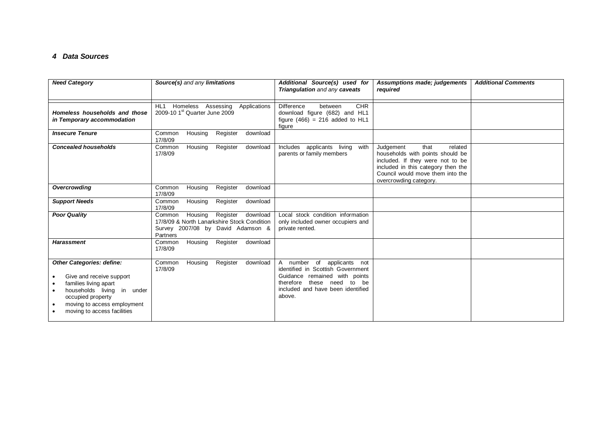#### *4 Data Sources*

| <b>Need Category</b>                                                                                                                                                                                      | Source(s) and any limitations                                                                                                             | Additional Source(s) used for<br>Triangulation and any caveats                                                                                                                      | Assumptions made; judgements<br>required                                                                                                                                                                 | <b>Additional Comments</b> |
|-----------------------------------------------------------------------------------------------------------------------------------------------------------------------------------------------------------|-------------------------------------------------------------------------------------------------------------------------------------------|-------------------------------------------------------------------------------------------------------------------------------------------------------------------------------------|----------------------------------------------------------------------------------------------------------------------------------------------------------------------------------------------------------|----------------------------|
| Homeless households and those<br>in Temporary accommodation                                                                                                                                               | HL <sub>1</sub><br>Homeless Assessing<br>Applications<br>2009-10 1 <sup>st</sup> Quarter June 2009                                        | <b>CHR</b><br><b>Difference</b><br>between<br>download figure (682) and HL1<br>figure $(466) = 216$ added to HL1<br>figure                                                          |                                                                                                                                                                                                          |                            |
| <b>Insecure Tenure</b>                                                                                                                                                                                    | Register<br>Common<br>Housing<br>download<br>17/8/09                                                                                      |                                                                                                                                                                                     |                                                                                                                                                                                                          |                            |
| <b>Concealed households</b>                                                                                                                                                                               | Housing<br>Register<br>Common<br>download<br>17/8/09                                                                                      | Includes applicants living<br>with<br>parents or family members                                                                                                                     | Judgement<br>that<br>related<br>households with points should be<br>included. If they were not to be<br>included in this category then the<br>Council would move them into the<br>overcrowding category. |                            |
| <b>Overcrowding</b>                                                                                                                                                                                       | Register<br>Housing<br>download<br>Common<br>17/8/09                                                                                      |                                                                                                                                                                                     |                                                                                                                                                                                                          |                            |
| <b>Support Needs</b>                                                                                                                                                                                      | Housing<br>Register<br>download<br>Common<br>17/8/09                                                                                      |                                                                                                                                                                                     |                                                                                                                                                                                                          |                            |
| <b>Poor Quality</b>                                                                                                                                                                                       | Register<br>download<br>Housing<br>Common<br>17/8/09 & North Lanarkshire Stock Condition<br>Survey 2007/08 by David Adamson &<br>Partners | Local stock condition information<br>only included owner occupiers and<br>private rented.                                                                                           |                                                                                                                                                                                                          |                            |
| <b>Harassment</b>                                                                                                                                                                                         | Register<br>Housing<br>download<br>Common<br>17/8/09                                                                                      |                                                                                                                                                                                     |                                                                                                                                                                                                          |                            |
| <b>Other Categories: define:</b><br>Give and receive support<br>families living apart<br>households living<br>in under<br>occupied property<br>moving to access employment<br>moving to access facilities | Common<br>Housing<br>Register<br>download<br>17/8/09                                                                                      | A number of<br>applicants not<br>identified in Scottish Government<br>Guidance remained with points<br>these need to be<br>therefore<br>included and have been identified<br>above. |                                                                                                                                                                                                          |                            |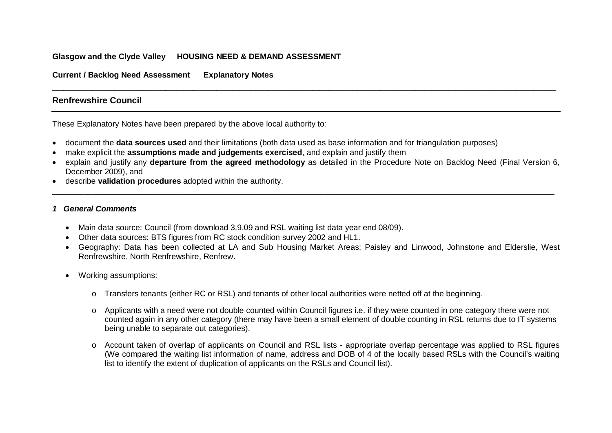### **Glasgow and the Clyde Valley HOUSING NEED & DEMAND ASSESSMENT**

**Current / Backlog Need Assessment Explanatory Notes**

### **Renfrewshire Council**

These Explanatory Notes have been prepared by the above local authority to:

- document the **data sources used** and their limitations (both data used as base information and for triangulation purposes)
- make explicit the **assumptions made and judgements exercised**, and explain and justify them
- explain and justify any **departure from the agreed methodology** as detailed in the Procedure Note on Backlog Need (Final Version 6, December 2009), and

\_\_\_\_\_\_\_\_\_\_\_\_\_\_\_\_\_\_\_\_\_\_\_\_\_\_\_\_\_\_\_\_\_\_\_\_\_\_\_\_\_\_\_\_\_\_\_\_\_\_\_\_\_\_\_\_\_\_\_\_\_\_\_\_\_\_\_\_\_\_\_\_\_\_\_\_\_\_\_\_\_\_\_\_\_\_\_\_\_\_\_\_\_\_\_\_\_\_\_\_\_\_\_\_\_\_\_\_\_\_\_\_\_

\_\_\_\_\_\_\_\_\_\_\_\_\_\_\_\_\_\_\_\_\_\_\_\_\_\_\_\_\_\_\_\_\_\_\_\_\_\_\_\_\_\_\_\_\_\_\_\_\_\_\_\_\_\_\_\_\_\_\_\_\_\_\_\_\_\_\_\_\_\_\_\_\_\_\_\_\_\_\_\_\_\_\_\_\_\_\_\_\_

• describe **validation procedures** adopted within the authority.

#### *1 General Comments*

- Main data source: Council (from download 3.9.09 and RSL waiting list data year end 08/09).
- Other data sources: BTS figures from RC stock condition survey 2002 and HL1.
- Geography: Data has been collected at LA and Sub Housing Market Areas; Paisley and Linwood, Johnstone and Elderslie, West Renfrewshire, North Renfrewshire, Renfrew.
- Working assumptions:
	- o Transfers tenants (either RC or RSL) and tenants of other local authorities were netted off at the beginning.
	- o Applicants with a need were not double counted within Council figures i.e. if they were counted in one category there were not counted again in any other category (there may have been a small element of double counting in RSL returns due to IT systems being unable to separate out categories).
	- o Account taken of overlap of applicants on Council and RSL lists appropriate overlap percentage was applied to RSL figures (We compared the waiting list information of name, address and DOB of 4 of the locally based RSLs with the Council's waiting list to identify the extent of duplication of applicants on the RSLs and Council list).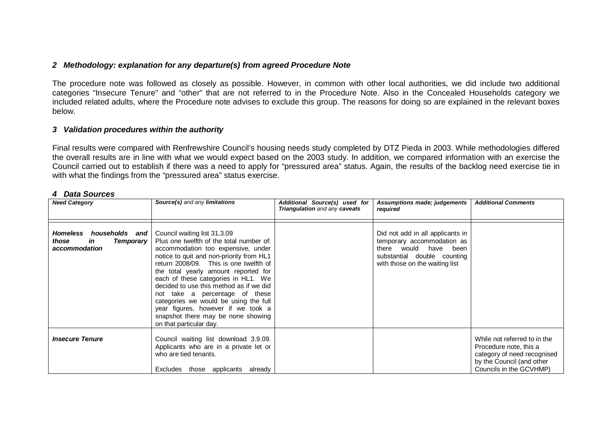### *2 Methodology: explanation for any departure(s) from agreed Procedure Note*

The procedure note was followed as closely as possible. However, in common with other local authorities, we did include two additional categories "Insecure Tenure" and "other" that are not referred to in the Procedure Note. Also in the Concealed Households category we included related adults, where the Procedure note advises to exclude this group. The reasons for doing so are explained in the relevant boxes below.

### *3 Validation procedures within the authority*

Final results were compared with Renfrewshire Council's housing needs study completed by DTZ Pieda in 2003. While methodologies differed the overall results are in line with what we would expect based on the 2003 study. In addition, we compared information with an exercise the Council carried out to establish if there was a need to apply for "pressured area" status. Again, the results of the backlog need exercise tie in with what the findings from the "pressured area" status exercise.

#### *4 Data Sources*

| <b>Need Category</b>                                                           | Source(s) and any limitations                                                                                                                                                                                                                                                                                                                                                                                                                                                                                    | Additional Source(s) used for<br>Triangulation and any caveats | <b>Assumptions made; judgements</b><br>required                                                                                                          | <b>Additional Comments</b>                                                                                                                    |
|--------------------------------------------------------------------------------|------------------------------------------------------------------------------------------------------------------------------------------------------------------------------------------------------------------------------------------------------------------------------------------------------------------------------------------------------------------------------------------------------------------------------------------------------------------------------------------------------------------|----------------------------------------------------------------|----------------------------------------------------------------------------------------------------------------------------------------------------------|-----------------------------------------------------------------------------------------------------------------------------------------------|
| Homeless<br>households and<br>those<br><b>Temporary</b><br>in<br>accommodation | Council waiting list 31.3.09<br>Plus one twelfth of the total number of:<br>accommodation too expensive, under<br>notice to quit and non-priority from HL1<br>return 2008/09. This is one twelfth of<br>the total yearly amount reported for<br>each of these categories in HL1. We<br>decided to use this method as if we did<br>not take a percentage of these<br>categories we would be using the full<br>year figures, however if we took a<br>snapshot there may be none showing<br>on that particular day. |                                                                | Did not add in all applicants in<br>temporary accommodation as<br>there would have been<br>substantial double counting<br>with those on the waiting list |                                                                                                                                               |
| <b>Insecure Tenure</b>                                                         | Council waiting list download 3.9.09.<br>Applicants who are in a private let or<br>who are tied tenants.<br>Excludes<br>those applicants already                                                                                                                                                                                                                                                                                                                                                                 |                                                                |                                                                                                                                                          | While not referred to in the<br>Procedure note, this a<br>category of need recognised<br>by the Council (and other<br>Councils in the GCVHMP) |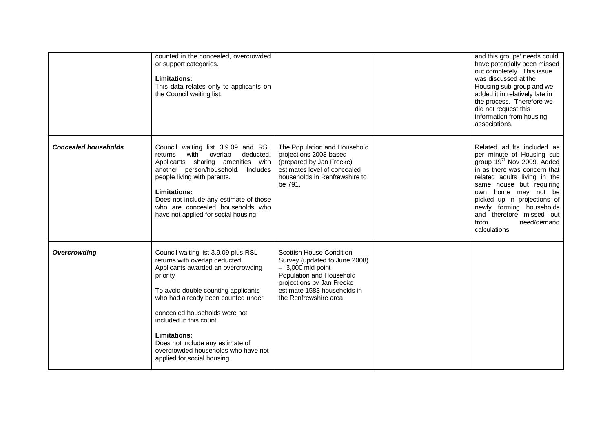|                             | counted in the concealed, overcrowded<br>or support categories.<br><b>Limitations:</b><br>This data relates only to applicants on<br>the Council waiting list.                                                                                                                                                                                                                                    |                                                                                                                                                                                                          | and this groups' needs could<br>have potentially been missed<br>out completely. This issue<br>was discussed at the<br>Housing sub-group and we<br>added it in relatively late in<br>the process. Therefore we<br>did not request this<br>information from housing<br>associations.                                                                 |
|-----------------------------|---------------------------------------------------------------------------------------------------------------------------------------------------------------------------------------------------------------------------------------------------------------------------------------------------------------------------------------------------------------------------------------------------|----------------------------------------------------------------------------------------------------------------------------------------------------------------------------------------------------------|----------------------------------------------------------------------------------------------------------------------------------------------------------------------------------------------------------------------------------------------------------------------------------------------------------------------------------------------------|
| <b>Concealed households</b> | Council waiting list 3.9.09 and RSL<br>with overlap<br>deducted.<br>returns<br>Applicants sharing amenities with<br>another person/household. Includes<br>people living with parents.<br><b>Limitations:</b><br>Does not include any estimate of those<br>who are concealed households who<br>have not applied for social housing.                                                                | The Population and Household<br>projections 2008-based<br>(prepared by Jan Freeke)<br>estimates level of concealed<br>households in Renfrewshire to<br>be 791.                                           | Related adults included as<br>per minute of Housing sub<br>group 19 <sup>th</sup> Nov 2009. Added<br>in as there was concern that<br>related adults living in the<br>same house but requiring<br>own home may not be<br>picked up in projections of<br>newly forming households<br>and therefore missed out<br>need/demand<br>from<br>calculations |
| Overcrowding                | Council waiting list 3.9.09 plus RSL<br>returns with overlap deducted.<br>Applicants awarded an overcrowding<br>priority<br>To avoid double counting applicants<br>who had already been counted under<br>concealed households were not<br>included in this count.<br><b>Limitations:</b><br>Does not include any estimate of<br>overcrowded households who have not<br>applied for social housing | <b>Scottish House Condition</b><br>Survey (updated to June 2008)<br>$-3,000$ mid point<br>Population and Household<br>projections by Jan Freeke<br>estimate 1583 households in<br>the Renfrewshire area. |                                                                                                                                                                                                                                                                                                                                                    |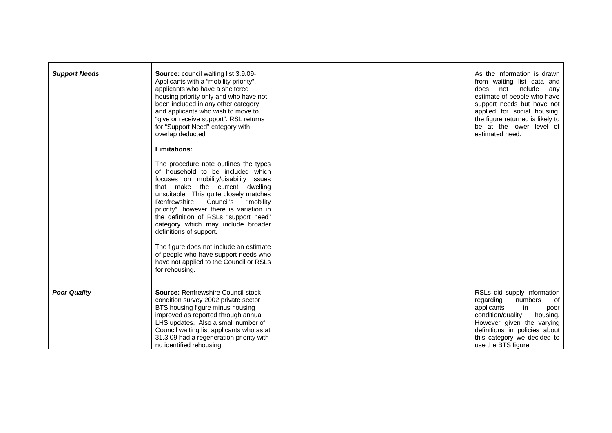| <b>Support Needs</b> | <b>Source:</b> council waiting list 3.9.09-<br>Applicants with a "mobility priority",<br>applicants who have a sheltered<br>housing priority only and who have not<br>been included in any other category<br>and applicants who wish to move to<br>"give or receive support". RSL returns<br>for "Support Need" category with<br>overlap deducted<br>Limitations:<br>The procedure note outlines the types<br>of household to be included which<br>focuses on mobility/disability issues<br>that make the current dwelling<br>unsuitable. This quite closely matches<br>Council's<br>"mobility<br>Renfrewshire<br>priority", however there is variation in<br>the definition of RSLs "support need"<br>category which may include broader<br>definitions of support.<br>The figure does not include an estimate<br>of people who have support needs who<br>have not applied to the Council or RSLs<br>for rehousing. |  | As the information is drawn<br>from waiting list data and<br>does not include<br>any<br>estimate of people who have<br>support needs but have not<br>applied for social housing,<br>the figure returned is likely to<br>be at the lower level of<br>estimated need. |
|----------------------|----------------------------------------------------------------------------------------------------------------------------------------------------------------------------------------------------------------------------------------------------------------------------------------------------------------------------------------------------------------------------------------------------------------------------------------------------------------------------------------------------------------------------------------------------------------------------------------------------------------------------------------------------------------------------------------------------------------------------------------------------------------------------------------------------------------------------------------------------------------------------------------------------------------------|--|---------------------------------------------------------------------------------------------------------------------------------------------------------------------------------------------------------------------------------------------------------------------|
| <b>Poor Quality</b>  | <b>Source: Renfrewshire Council stock</b><br>condition survey 2002 private sector<br>BTS housing figure minus housing<br>improved as reported through annual<br>LHS updates. Also a small number of<br>Council waiting list applicants who as at<br>31.3.09 had a regeneration priority with<br>no identified rehousing.                                                                                                                                                                                                                                                                                                                                                                                                                                                                                                                                                                                             |  | RSLs did supply information<br>regarding<br>numbers<br>of<br>applicants<br>in<br>poor<br>condition/quality<br>housing.<br>However given the varying<br>definitions in policies about<br>this category we decided to<br>use the BTS figure.                          |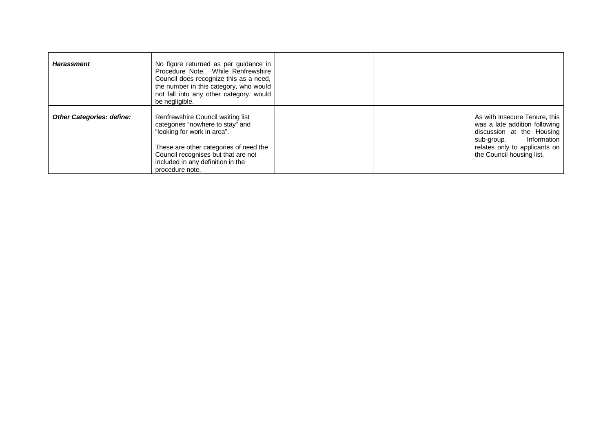| <b>Harassment</b>                | No figure returned as per guidance in<br>Procedure Note. While Renfrewshire<br>Council does recognize this as a need,<br>the number in this category, who would<br>not fall into any other category, would<br>be negligible.                  |  |                                                                                                                                                                                        |
|----------------------------------|-----------------------------------------------------------------------------------------------------------------------------------------------------------------------------------------------------------------------------------------------|--|----------------------------------------------------------------------------------------------------------------------------------------------------------------------------------------|
| <b>Other Categories: define:</b> | Renfrewshire Council waiting list<br>categories "nowhere to stay" and<br>"looking for work in area".<br>These are other categories of need the<br>Council recognises but that are not<br>included in any definition in the<br>procedure note. |  | As with Insecure Tenure, this<br>was a late addition following<br>discussion at the Housing<br>Information<br>sub-group.<br>relates only to applicants on<br>the Council housing list. |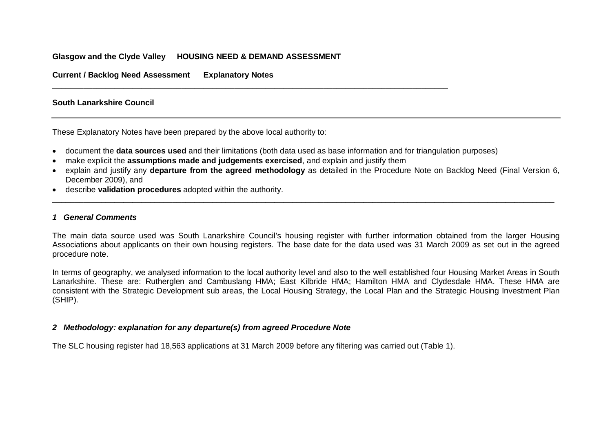### **Glasgow and the Clyde Valley HOUSING NEED & DEMAND ASSESSMENT**

**Current / Backlog Need Assessment Explanatory Notes**

#### **South Lanarkshire Council**

These Explanatory Notes have been prepared by the above local authority to:

- document the **data sources used** and their limitations (both data used as base information and for triangulation purposes)
- make explicit the **assumptions made and judgements exercised**, and explain and justify them

\_\_\_\_\_\_\_\_\_\_\_\_\_\_\_\_\_\_\_\_\_\_\_\_\_\_\_\_\_\_\_\_\_\_\_\_\_\_\_\_\_\_\_\_\_\_\_\_\_\_\_\_\_\_\_\_\_\_\_\_\_\_\_\_\_\_\_\_\_\_\_\_\_\_\_\_\_\_\_\_\_\_\_\_\_\_\_\_\_

• explain and justify any **departure from the agreed methodology** as detailed in the Procedure Note on Backlog Need (Final Version 6, December 2009), and

\_\_\_\_\_\_\_\_\_\_\_\_\_\_\_\_\_\_\_\_\_\_\_\_\_\_\_\_\_\_\_\_\_\_\_\_\_\_\_\_\_\_\_\_\_\_\_\_\_\_\_\_\_\_\_\_\_\_\_\_\_\_\_\_\_\_\_\_\_\_\_\_\_\_\_\_\_\_\_\_\_\_\_\_\_\_\_\_\_\_\_\_\_\_\_\_\_\_\_\_\_\_\_\_\_\_\_\_\_\_\_\_\_

• describe **validation procedures** adopted within the authority.

#### *1 General Comments*

The main data source used was South Lanarkshire Council's housing register with further information obtained from the larger Housing Associations about applicants on their own housing registers. The base date for the data used was 31 March 2009 as set out in the agreed procedure note.

In terms of geography, we analysed information to the local authority level and also to the well established four Housing Market Areas in South Lanarkshire. These are: Rutherglen and Cambuslang HMA; East Kilbride HMA; Hamilton HMA and Clydesdale HMA. These HMA are consistent with the Strategic Development sub areas, the Local Housing Strategy, the Local Plan and the Strategic Housing Investment Plan (SHIP).

#### *2 Methodology: explanation for any departure(s) from agreed Procedure Note*

The SLC housing register had 18,563 applications at 31 March 2009 before any filtering was carried out (Table 1).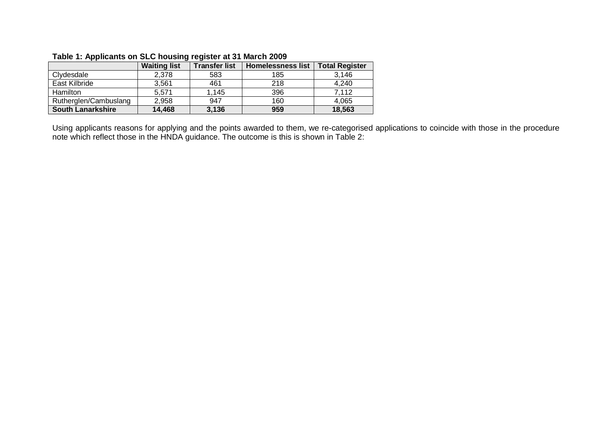|                          | <b>Waiting list</b> | <b>Transfer list</b> | <b>Homelessness list</b> | <b>Total Register</b> |
|--------------------------|---------------------|----------------------|--------------------------|-----------------------|
| Clydesdale               | 2.378               | 583                  | 185                      | 3.146                 |
| East Kilbride            | 3,561               | 461                  | 218                      | 4,240                 |
| <b>Hamilton</b>          | 5,571               | 1,145                | 396                      | 7.112                 |
| Rutherglen/Cambuslang    | 2,958               | 947                  | 160                      | 4,065                 |
| <b>South Lanarkshire</b> | 14,468              | 3,136                | 959                      | 18,563                |

### **Table 1: Applicants on SLC housing register at 31 March 2009**

Using applicants reasons for applying and the points awarded to them, we re-categorised applications to coincide with those in the procedure note which reflect those in the HNDA guidance. The outcome is this is shown in Table 2: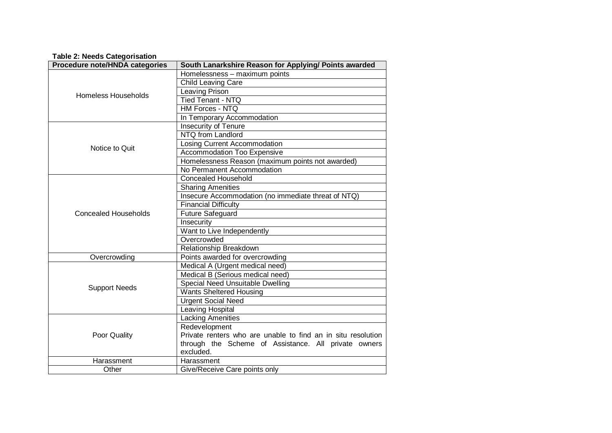#### **Table 2: Needs Categorisation**

| Procedure note/HNDA categories | South Lanarkshire Reason for Applying/ Points awarded        |
|--------------------------------|--------------------------------------------------------------|
|                                | Homelessness - maximum points                                |
|                                | <b>Child Leaving Care</b>                                    |
| <b>Homeless Households</b>     | Leaving Prison                                               |
|                                | <b>Tied Tenant - NTQ</b>                                     |
|                                | <b>HM Forces - NTQ</b>                                       |
|                                | In Temporary Accommodation                                   |
|                                | Insecurity of Tenure                                         |
|                                | NTQ from Landlord                                            |
| Notice to Quit                 | Losing Current Accommodation                                 |
|                                | Accommodation Too Expensive                                  |
|                                | Homelessness Reason (maximum points not awarded)             |
|                                | No Permanent Accommodation                                   |
|                                | <b>Concealed Household</b>                                   |
|                                | <b>Sharing Amenities</b>                                     |
|                                | Insecure Accommodation (no immediate threat of NTQ)          |
|                                | <b>Financial Difficulty</b>                                  |
| <b>Concealed Households</b>    | Future Safeguard                                             |
|                                | Insecurity                                                   |
|                                | Want to Live Independently                                   |
|                                | Overcrowded                                                  |
|                                | Relationship Breakdown                                       |
| Overcrowding                   | Points awarded for overcrowding                              |
|                                | Medical A (Urgent medical need)                              |
|                                | Medical B (Serious medical need)                             |
|                                | Special Need Unsuitable Dwelling                             |
| <b>Support Needs</b>           | <b>Wants Sheltered Housing</b>                               |
|                                | <b>Urgent Social Need</b>                                    |
|                                | Leaving Hospital                                             |
|                                | <b>Lacking Amenities</b>                                     |
|                                | Redevelopment                                                |
| Poor Quality                   | Private renters who are unable to find an in situ resolution |
|                                | through the Scheme of Assistance. All private owners         |
|                                | excluded.                                                    |
| Harassment                     | Harassment                                                   |
| Other                          | Give/Receive Care points only                                |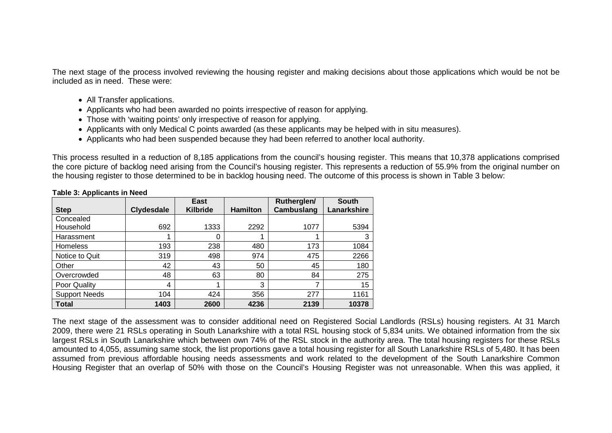The next stage of the process involved reviewing the housing register and making decisions about those applications which would be not be included as in need. These were:

- All Transfer applications.
- Applicants who had been awarded no points irrespective of reason for applying.
- Those with 'waiting points' only irrespective of reason for applying.
- Applicants with only Medical C points awarded (as these applicants may be helped with in situ measures).
- Applicants who had been suspended because they had been referred to another local authority.

This process resulted in a reduction of 8,185 applications from the council's housing register. This means that 10,378 applications comprised the core picture of backlog need arising from the Council's housing register. This represents a reduction of 55.9% from the original number on the housing register to those determined to be in backlog housing need. The outcome of this process is shown in Table 3 below:

|                      |                   | <b>East</b>     |                 | Rutherglen/ | <b>South</b> |
|----------------------|-------------------|-----------------|-----------------|-------------|--------------|
| <b>Step</b>          | <b>Clydesdale</b> | <b>Kilbride</b> | <b>Hamilton</b> | Cambuslang  | Lanarkshire  |
| Concealed            |                   |                 |                 |             |              |
| Household            | 692               | 1333            | 2292            | 1077        | 5394         |
| Harassment           |                   | 0               |                 |             | 3            |
| <b>Homeless</b>      | 193               | 238             | 480             | 173         | 1084         |
| Notice to Quit       | 319               | 498             | 974             | 475         | 2266         |
| Other                | 42                | 43              | 50              | 45          | 180          |
| Overcrowded          | 48                | 63              | 80              | 84          | 275          |
| Poor Quality         | 4                 |                 | 3               |             | 15           |
| <b>Support Needs</b> | 104               | 424             | 356             | 277         | 1161         |
| <b>Total</b>         | 1403              | 2600            | 4236            | 2139        | 10378        |

#### **Table 3: Applicants in Need**

The next stage of the assessment was to consider additional need on Registered Social Landlords (RSLs) housing registers. At 31 March 2009, there were 21 RSLs operating in South Lanarkshire with a total RSL housing stock of 5,834 units. We obtained information from the six largest RSLs in South Lanarkshire which between own 74% of the RSL stock in the authority area. The total housing registers for these RSLs amounted to 4,055, assuming same stock, the list proportions gave a total housing register for all South Lanarkshire RSLs of 5,480. It has been assumed from previous affordable housing needs assessments and work related to the development of the South Lanarkshire Common Housing Register that an overlap of 50% with those on the Council's Housing Register was not unreasonable. When this was applied, it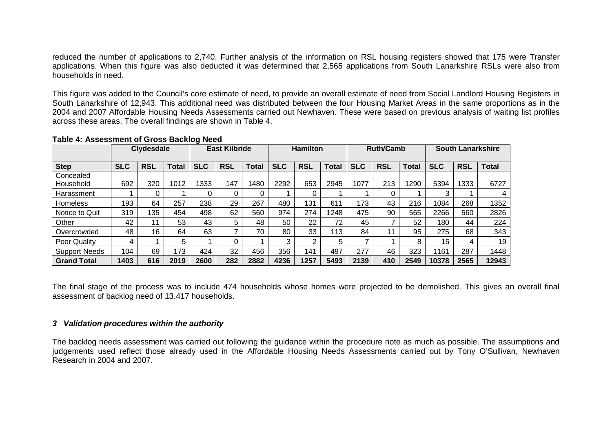reduced the number of applications to 2,740. Further analysis of the information on RSL housing registers showed that 175 were Transfer applications. When this figure was also deducted it was determined that 2,565 applications from South Lanarkshire RSLs were also from households in need.

This figure was added to the Council's core estimate of need, to provide an overall estimate of need from Social Landlord Housing Registers in South Lanarkshire of 12,943. This additional need was distributed between the four Housing Market Areas in the same proportions as in the 2004 and 2007 Affordable Housing Needs Assessments carried out Newhaven. These were based on previous analysis of waiting list profiles across these areas. The overall findings are shown in Table 4.

|                      |            | <b>Clydesdale</b> |              |            | <b>East Kilbride</b> |              |            | <b>Hamilton</b> |              |            | <b>Ruth/Camb</b> |              |            | <b>South Lanarkshire</b> |              |
|----------------------|------------|-------------------|--------------|------------|----------------------|--------------|------------|-----------------|--------------|------------|------------------|--------------|------------|--------------------------|--------------|
| <b>Step</b>          | <b>SLC</b> | <b>RSL</b>        | <b>Total</b> | <b>SLC</b> | <b>RSL</b>           | <b>Total</b> | <b>SLC</b> | <b>RSL</b>      | <b>Total</b> | <b>SLC</b> | <b>RSL</b>       | <b>Total</b> | <b>SLC</b> | <b>RSL</b>               | <b>Total</b> |
| Concealed            |            |                   |              |            |                      |              |            |                 |              |            |                  |              |            |                          |              |
| Household            | 692        | 320               | 1012         | 1333       | 147                  | 1480         | 2292       | 653             | 2945         | 1077       | 213              | 1290         | 5394       | 1333                     | 6727         |
| Harassment           |            |                   |              | 0          | 0                    | 0            |            |                 |              |            |                  |              | 3          |                          | 4            |
| <b>Homeless</b>      | 193        | 64                | 257          | 238        | 29                   | 267          | 480        | 131             | 611          | 173        | 43               | 216          | 1084       | 268                      | 1352         |
| Notice to Quit       | 319        | 135               | 454          | 498        | 62                   | 560          | 974        | 274             | 1248         | 475        | 90               | 565          | 2266       | 560                      | 2826         |
| Other                | 42         | 11                | 53           | 43         | 5                    | 48           | 50         | 22              | 72           | 45         |                  | 52           | 180        | 44                       | 224          |
| Overcrowded          | 48         | 16                | 64           | 63         | 7                    | 70           | 80         | 33              | 113          | 84         | 11               | 95           | 275        | 68                       | 343          |
| Poor Quality         | 4          |                   | 5            |            | 0                    |              | 3          | າ               | 5            |            |                  | 8            | 15         | 4                        | 19           |
| <b>Support Needs</b> | 104        | 69                | 173          | 424        | 32                   | 456          | 356        | 141             | 497          | 277        | 46               | 323          | 1161       | 287                      | 1448         |
| <b>Grand Total</b>   | 1403       | 616               | 2019         | 2600       | 282                  | 2882         | 4236       | 1257            | 5493         | 2139       | 410              | 2549         | 10378      | 2565                     | 12943        |

### **Table 4: Assessment of Gross Backlog Need**

The final stage of the process was to include 474 households whose homes were projected to be demolished. This gives an overall final assessment of backlog need of 13,417 households.

### *3 Validation procedures within the authority*

The backlog needs assessment was carried out following the guidance within the procedure note as much as possible. The assumptions and judgements used reflect those already used in the Affordable Housing Needs Assessments carried out by Tony O'Sullivan, Newhaven Research in 2004 and 2007.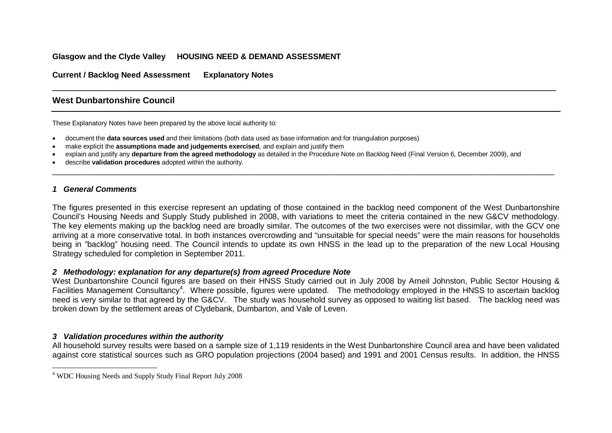### <span id="page-49-0"></span>**Glasgow and the Clyde Valley HOUSING NEED & DEMAND ASSESSMENT**

**Current / Backlog Need Assessment Explanatory Notes**

### **West Dunbartonshire Council**

These Explanatory Notes have been prepared by the above local authority to:

- document the **data sources used** and their limitations (both data used as base information and for triangulation purposes)
- make explicit the **assumptions made and judgements exercised**, and explain and justify them
- explain and justify any **departure from the agreed methodology** as detailed in the Procedure Note on Backlog Need (Final Version 6, December 2009), and

\_\_\_\_\_\_\_\_\_\_\_\_\_\_\_\_\_\_\_\_\_\_\_\_\_\_\_\_\_\_\_\_\_\_\_\_\_\_\_\_\_\_\_\_\_\_\_\_\_\_\_\_\_\_\_\_\_\_\_\_\_\_\_\_\_\_\_\_\_\_\_\_\_\_\_\_\_\_\_\_\_\_\_\_\_\_\_\_\_

• describe **validation procedures** adopted within the authority.

### *1 General Comments*

 $\overline{a}$ 

The figures presented in this exercise represent an updating of those contained in the backlog need component of the West Dunbartonshire Council's Housing Needs and Supply Study published in 2008, with variations to meet the criteria contained in the new G&CV methodology. The key elements making up the backlog need are broadly similar. The outcomes of the two exercises were not dissimilar, with the GCV one arriving at a more conservative total. In both instances overcrowding and "unsuitable for special needs" were the main reasons for households being in "backlog" housing need. The Council intends to update its own HNSS in the lead up to the preparation of the new Local Housing Strategy scheduled for completion in September 2011.

\_\_\_\_\_\_\_\_\_\_\_\_\_\_\_\_\_\_\_\_\_\_\_\_\_\_\_\_\_\_\_\_\_\_\_\_\_\_\_\_\_\_\_\_\_\_\_\_\_\_\_\_\_\_\_\_\_\_\_\_\_\_\_\_\_\_\_\_\_\_\_\_\_\_\_\_\_\_\_\_\_\_\_\_\_\_\_\_\_\_\_\_\_\_\_\_\_\_\_\_\_\_\_\_\_\_\_\_\_\_\_\_\_

### *2 Methodology: explanation for any departure(s) from agreed Procedure Note*

West Dunbartonshire Council figures are based on their HNSS Study carried out in July 2008 by Arneil Johnston, Public Sector Housing & Facilities Management Consultancy<sup>[4](#page-10-0)</sup>. Where possible, figures were updated. The methodology employed in the HNSS to ascertain backlog need is very similar to that agreed by the G&CV. The study was household survey as opposed to waiting list based. The backlog need was broken down by the settlement areas of Clydebank, Dumbarton, and Vale of Leven.

### *3 Validation procedures within the authority*

All household survey results were based on a sample size of 1,119 residents in the West Dunbartonshire Council area and have been validated against core statistical sources such as GRO population projections (2004 based) and 1991 and 2001 Census results. In addition, the HNSS

<sup>&</sup>lt;sup>4</sup> WDC Housing Needs and Supply Study Final Report July 2008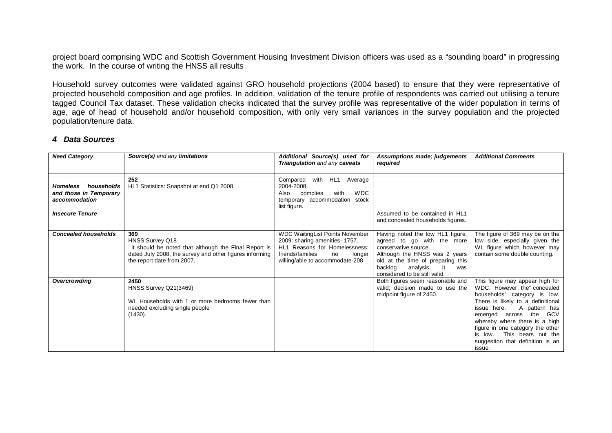project board comprising WDC and Scottish Government Housing Investment Division officers was used as a "sounding board" in progressing the work. In the course of writing the HNSS all results

Household survey outcomes were validated against GRO household projections (2004 based) to ensure that they were representative of projected household composition and age profiles. In addition, validation of the tenure profile of respondents was carried out utilising a tenure tagged Council Tax dataset. These validation checks indicated that the survey profile was representative of the wider population in terms of age, age of head of household and/or household composition, with only very small variances in the survey population and the projected population/tenure data.

#### *4 Data Sources*

| <b>Need Category</b>                                              | Source(s) and any limitations                                                                                                                                           | Additional Source(s) used for<br>Triangulation and any caveats                                                                                                                    | Assumptions made; judgements<br>required                                                                                                                                                                                           | <b>Additional Comments</b>                                                                                                                                                                                                                                                                                                                            |
|-------------------------------------------------------------------|-------------------------------------------------------------------------------------------------------------------------------------------------------------------------|-----------------------------------------------------------------------------------------------------------------------------------------------------------------------------------|------------------------------------------------------------------------------------------------------------------------------------------------------------------------------------------------------------------------------------|-------------------------------------------------------------------------------------------------------------------------------------------------------------------------------------------------------------------------------------------------------------------------------------------------------------------------------------------------------|
| households<br>Homeless<br>and those in Temporary<br>accommodation | 252<br>HL1 Statistics: Snapshot at end Q1 2008                                                                                                                          | with<br>HL1<br>Compared<br>Average<br>2004-2008.<br><b>WDC</b><br>complies<br>with<br>Also<br>temporary accommodation stock<br>list figure.                                       |                                                                                                                                                                                                                                    |                                                                                                                                                                                                                                                                                                                                                       |
| <b>Insecure Tenure</b>                                            |                                                                                                                                                                         |                                                                                                                                                                                   | Assumed to be contained in HL1<br>and concealed households figures.                                                                                                                                                                |                                                                                                                                                                                                                                                                                                                                                       |
| <b>Concealed households</b>                                       | 369<br>HNSS Survey Q18<br>It should be noted that although the Final Report is<br>dated July 2008, the survey and other figures informing<br>the report date from 2007. | <b>WDC Waiting List Points November</b><br>2009: sharing amenities- 1757.<br>HL1 Reasons for Homelessness:<br>friends/families<br>longer<br>no<br>willing/able to accommodate-208 | Having noted the low HL1 figure,<br>agreed to go with the more<br>conservative source.<br>Although the HNSS was 2 years<br>old at the time of preparing this<br>backlog<br>analysis,<br>it<br>was<br>considered to be still valid. | The figure of 369 may be on the<br>low side, especially given the<br>WL figure which however may<br>contain some double counting.                                                                                                                                                                                                                     |
| Overcrowding                                                      | 2450<br>HNSS Survey Q21(3469)<br>WL Households with 1 or more bedrooms fewer than<br>needed excluding single people<br>(1430).                                          |                                                                                                                                                                                   | Both figures seem reasonable and<br>valid; decision made to use the<br>midpoint figure of 2450.                                                                                                                                    | This figure may appear high for<br>WDC. However, the" concealed<br>households" category is low.<br>There is likely to a definitional<br>issue here.<br>A pattern has<br>the GCV<br>emerged<br>across<br>whereby where there is a high<br>figure in one category the other<br>is low. This bears out the<br>suggestion that definition is an<br>issue. |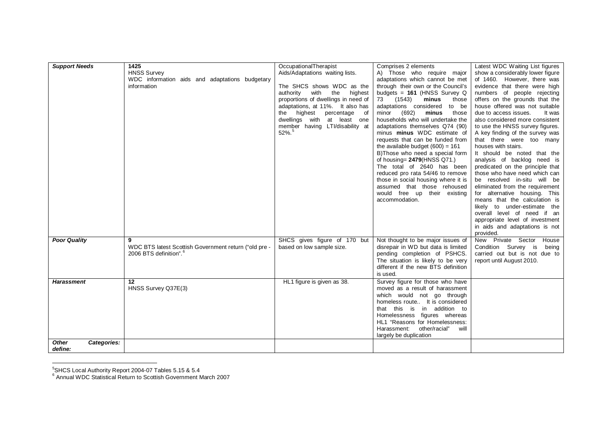<span id="page-51-0"></span>

| <b>Support Needs</b>                             | 1425<br><b>HNSS Survey</b><br>WDC information aids and adaptations budgetary<br>information | OccupationalTherapist<br>Aids/Adaptations waiting lists.<br>The SHCS shows WDC as the<br>authority<br>with<br>the<br>highest<br>proportions of dwellings in need of<br>adaptations, at 11%. It also has<br>the highest percentage of<br>dwellings with at least one<br>member having LTI/disability at<br>$52\%$ . <sup>5</sup> | Comprises 2 elements<br>A) Those who require major<br>adaptations which cannot be met<br>through their own or the Council's<br>budgets = $161$ (HNSS Survey Q<br>(1543)<br>73<br>minus<br>those<br>adaptations considered<br>to be<br>(692)<br>minus<br>those<br>minor<br>households who will undertake the<br>adaptations themselves Q74 (90)<br>minus minus WDC estimate of<br>requests that can be funded from<br>the available budget $(600) = 161$<br>B)Those who need a special form<br>of housing= $2479$ (HNSS Q71.)<br>The total of 2640 has been<br>reduced pro rata 54/46 to remove<br>those in social housing where it is<br>assumed that those rehoused<br>would free up their existing<br>accommodation. | Latest WDC Waiting List figures<br>show a considerably lower figure<br>of 1460. However, there was<br>evidence that there were high<br>numbers of people rejecting<br>offers on the grounds that the<br>house offered was not suitable<br>due to access issues.<br>It was<br>also considered more consistent<br>to use the HNSS survey figures.<br>A key finding of the survey was<br>that there were too many<br>houses with stairs.<br>It should be noted that the<br>analysis of backlog need is<br>predicated on the principle that<br>those who have need which can<br>be resolved in-situ will be<br>eliminated from the requirement<br>for alternative housing. This<br>means that the calculation is<br>likely to under-estimate the<br>overall level of need if an<br>appropriate level of investment<br>in aids and adaptations is not<br>provided. |
|--------------------------------------------------|---------------------------------------------------------------------------------------------|---------------------------------------------------------------------------------------------------------------------------------------------------------------------------------------------------------------------------------------------------------------------------------------------------------------------------------|------------------------------------------------------------------------------------------------------------------------------------------------------------------------------------------------------------------------------------------------------------------------------------------------------------------------------------------------------------------------------------------------------------------------------------------------------------------------------------------------------------------------------------------------------------------------------------------------------------------------------------------------------------------------------------------------------------------------|---------------------------------------------------------------------------------------------------------------------------------------------------------------------------------------------------------------------------------------------------------------------------------------------------------------------------------------------------------------------------------------------------------------------------------------------------------------------------------------------------------------------------------------------------------------------------------------------------------------------------------------------------------------------------------------------------------------------------------------------------------------------------------------------------------------------------------------------------------------|
| <b>Poor Quality</b>                              | WDC BTS latest Scottish Government return ("old pre -<br>2006 BTS definition". <sup>6</sup> | SHCS gives figure of 170 but<br>based on low sample size.                                                                                                                                                                                                                                                                       | Not thought to be major issues of<br>disrepair in WD but data is limited<br>pending completion of PSHCS.<br>The situation is likely to be very<br>different if the new BTS definition<br>is used.                                                                                                                                                                                                                                                                                                                                                                                                                                                                                                                      | New Private Sector<br>House<br>Condition Survey is<br>being<br>carried out but is not due to<br>report until August 2010.                                                                                                                                                                                                                                                                                                                                                                                                                                                                                                                                                                                                                                                                                                                                     |
| <b>Harassment</b><br><b>Other</b><br>Categories: | 12<br>HNSS Survey Q37E(3)                                                                   | HL1 figure is given as 38.                                                                                                                                                                                                                                                                                                      | Survey figure for those who have<br>moved as a result of harassment<br>which would not go through<br>homeless route It is considered<br>that this is in addition to<br>Homelessness figures whereas<br>HL1 "Reasons for Homelessness:<br>Harassment:<br>other/racial"<br>will<br>largely be duplication                                                                                                                                                                                                                                                                                                                                                                                                                |                                                                                                                                                                                                                                                                                                                                                                                                                                                                                                                                                                                                                                                                                                                                                                                                                                                               |
| define:                                          |                                                                                             |                                                                                                                                                                                                                                                                                                                                 |                                                                                                                                                                                                                                                                                                                                                                                                                                                                                                                                                                                                                                                                                                                        |                                                                                                                                                                                                                                                                                                                                                                                                                                                                                                                                                                                                                                                                                                                                                                                                                                                               |

<sup>&</sup>lt;u>.</u><br><sup>5</sup>SHCS Local Authority Report 2004-07 Tables 5.15 & 5.4<br><sup>6</sup> Annual WDC Statistical Return to Scottish Government March 2007